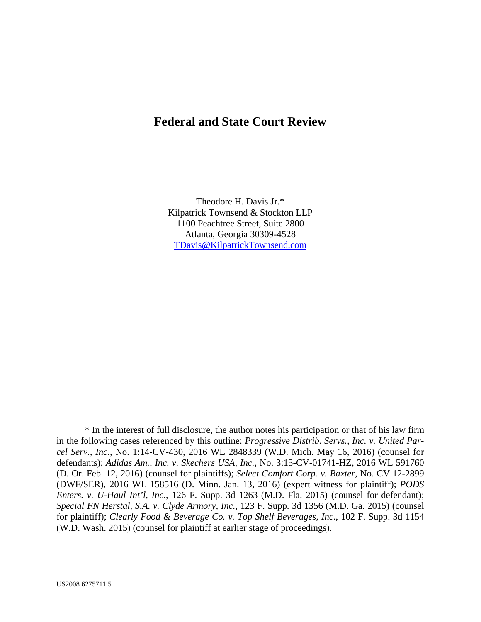# **Federal and State Court Review**

Theodore H. Davis Jr.\* Kilpatrick Townsend & Stockton LLP 1100 Peachtree Street, Suite 2800 Atlanta, Georgia 30309-4528 TDavis@KilpatrickTownsend.com

 $\overline{a}$ 

 <sup>\*</sup> In the interest of full disclosure, the author notes his participation or that of his law firm in the following cases referenced by this outline: *Progressive Distrib. Servs., Inc. v. United Parcel Serv., Inc.*, No. 1:14-CV-430, 2016 WL 2848339 (W.D. Mich. May 16, 2016) (counsel for defendants); *Adidas Am., Inc. v. Skechers USA, Inc.*, No. 3:15-CV-01741-HZ, 2016 WL 591760 (D. Or. Feb. 12, 2016) (counsel for plaintiffs); *Select Comfort Corp. v. Baxter*, No. CV 12-2899 (DWF/SER), 2016 WL 158516 (D. Minn. Jan. 13, 2016) (expert witness for plaintiff); *PODS Enters. v. U-Haul Int'l, Inc.*, 126 F. Supp. 3d 1263 (M.D. Fla. 2015) (counsel for defendant); *Special FN Herstal, S.A. v. Clyde Armory, Inc.*, 123 F. Supp. 3d 1356 (M.D. Ga. 2015) (counsel for plaintiff); *Clearly Food & Beverage Co. v. Top Shelf Beverages, Inc*., 102 F. Supp. 3d 1154 (W.D. Wash. 2015) (counsel for plaintiff at earlier stage of proceedings).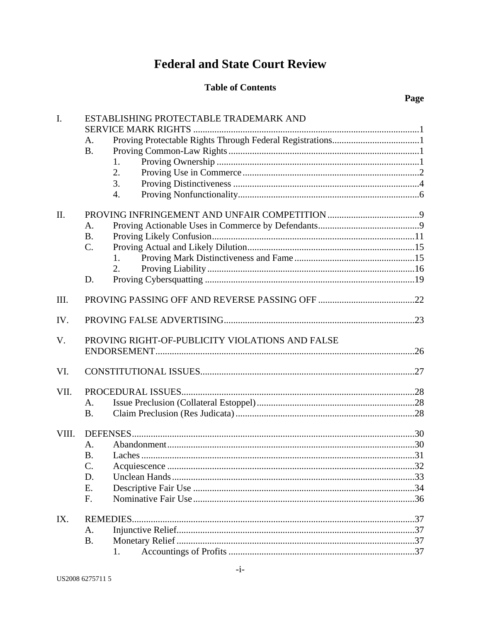# **Federal and State Court Review**

## **Table of Contents**

# Page

| I.    | ESTABLISHING PROTECTABLE TRADEMARK AND |                                                 |  |  |
|-------|----------------------------------------|-------------------------------------------------|--|--|
|       |                                        |                                                 |  |  |
|       | A.                                     |                                                 |  |  |
|       | <b>B.</b>                              |                                                 |  |  |
|       |                                        | 1.                                              |  |  |
|       |                                        | 2.                                              |  |  |
|       |                                        | 3.                                              |  |  |
|       |                                        | 4.                                              |  |  |
| II.   |                                        |                                                 |  |  |
|       | А.                                     |                                                 |  |  |
|       | <b>B.</b>                              |                                                 |  |  |
|       | C.                                     |                                                 |  |  |
|       |                                        | 1.                                              |  |  |
|       |                                        | 2.                                              |  |  |
|       | D.                                     |                                                 |  |  |
| III.  |                                        |                                                 |  |  |
| IV.   |                                        |                                                 |  |  |
| V.    |                                        | PROVING RIGHT-OF-PUBLICITY VIOLATIONS AND FALSE |  |  |
|       |                                        |                                                 |  |  |
| VI.   |                                        |                                                 |  |  |
|       |                                        |                                                 |  |  |
| VII.  |                                        |                                                 |  |  |
|       | A.                                     |                                                 |  |  |
|       | <b>B.</b>                              |                                                 |  |  |
| VIII. |                                        |                                                 |  |  |
|       | A.                                     |                                                 |  |  |
|       | <b>B.</b>                              |                                                 |  |  |
|       | C.                                     |                                                 |  |  |
|       | D.                                     |                                                 |  |  |
|       | E.                                     |                                                 |  |  |
|       | F.                                     |                                                 |  |  |
| IX.   |                                        |                                                 |  |  |
|       | A.                                     |                                                 |  |  |
|       | <b>B.</b>                              |                                                 |  |  |
|       |                                        | 1.                                              |  |  |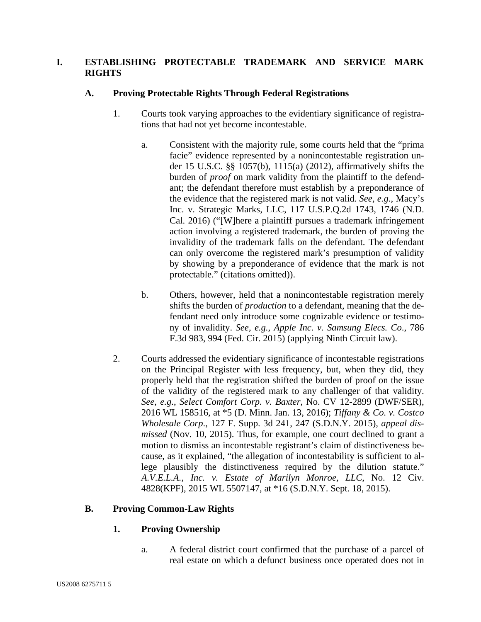## **I. ESTABLISHING PROTECTABLE TRADEMARK AND SERVICE MARK RIGHTS**

## **A. Proving Protectable Rights Through Federal Registrations**

- 1. Courts took varying approaches to the evidentiary significance of registrations that had not yet become incontestable.
	- a. Consistent with the majority rule, some courts held that the "prima facie" evidence represented by a nonincontestable registration under 15 U.S.C. §§ 1057(b), 1115(a) (2012), affirmatively shifts the burden of *proof* on mark validity from the plaintiff to the defendant; the defendant therefore must establish by a preponderance of the evidence that the registered mark is not valid. *See, e.g.*, Macy's Inc. v. Strategic Marks, LLC, 117 U.S.P.Q.2d 1743, 1746 (N.D. Cal. 2016) ("[W]here a plaintiff pursues a trademark infringement action involving a registered trademark, the burden of proving the invalidity of the trademark falls on the defendant. The defendant can only overcome the registered mark's presumption of validity by showing by a preponderance of evidence that the mark is not protectable." (citations omitted)).
	- b. Others, however, held that a nonincontestable registration merely shifts the burden of *production* to a defendant, meaning that the defendant need only introduce some cognizable evidence or testimony of invalidity. *See, e.g.*, *Apple Inc. v. Samsung Elecs. Co*., 786 F.3d 983, 994 (Fed. Cir. 2015) (applying Ninth Circuit law).
- 2. Courts addressed the evidentiary significance of incontestable registrations on the Principal Register with less frequency, but, when they did, they properly held that the registration shifted the burden of proof on the issue of the validity of the registered mark to any challenger of that validity. *See, e.g.*, *Select Comfort Corp. v. Baxter*, No. CV 12-2899 (DWF/SER), 2016 WL 158516, at \*5 (D. Minn. Jan. 13, 2016); *Tiffany & Co. v. Costco Wholesale Corp*., 127 F. Supp. 3d 241, 247 (S.D.N.Y. 2015), *appeal dismissed* (Nov. 10, 2015). Thus, for example, one court declined to grant a motion to dismiss an incontestable registrant's claim of distinctiveness because, as it explained, "the allegation of incontestability is sufficient to allege plausibly the distinctiveness required by the dilution statute." *A.V.E.L.A., Inc. v. Estate of Marilyn Monroe, LLC*, No. 12 Civ. 4828(KPF), 2015 WL 5507147, at \*16 (S.D.N.Y. Sept. 18, 2015).

## **B. Proving Common-Law Rights**

## **1. Proving Ownership**

a. A federal district court confirmed that the purchase of a parcel of real estate on which a defunct business once operated does not in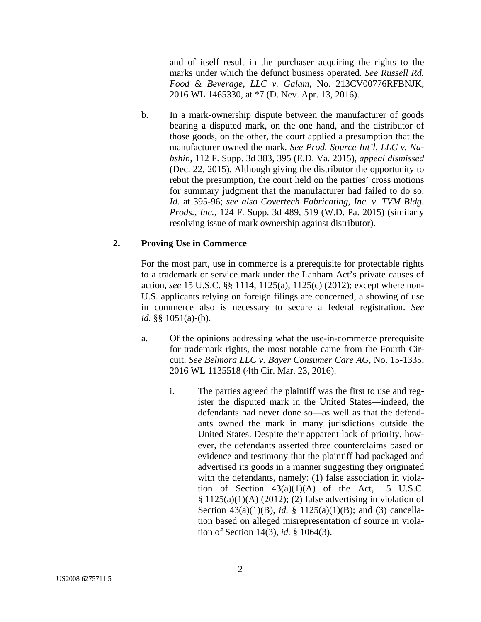and of itself result in the purchaser acquiring the rights to the marks under which the defunct business operated. *See Russell Rd. Food & Beverage, LLC v. Galam*, No. 213CV00776RFBNJK, 2016 WL 1465330, at \*7 (D. Nev. Apr. 13, 2016).

b. In a mark-ownership dispute between the manufacturer of goods bearing a disputed mark, on the one hand, and the distributor of those goods, on the other, the court applied a presumption that the manufacturer owned the mark. *See Prod. Source Int'l, LLC v. Nahshin*, 112 F. Supp. 3d 383, 395 (E.D. Va. 2015), *appeal dismissed* (Dec. 22, 2015). Although giving the distributor the opportunity to rebut the presumption, the court held on the parties' cross motions for summary judgment that the manufacturer had failed to do so. *Id.* at 395-96; *see also Covertech Fabricating, Inc. v. TVM Bldg. Prods., Inc.*, 124 F. Supp. 3d 489, 519 (W.D. Pa. 2015) (similarly resolving issue of mark ownership against distributor).

#### **2. Proving Use in Commerce**

For the most part, use in commerce is a prerequisite for protectable rights to a trademark or service mark under the Lanham Act's private causes of action, *see* 15 U.S.C. §§ 1114, 1125(a), 1125(c) (2012); except where non-U.S. applicants relying on foreign filings are concerned, a showing of use in commerce also is necessary to secure a federal registration. *See id.* §§ 1051(a)-(b).

- a. Of the opinions addressing what the use-in-commerce prerequisite for trademark rights, the most notable came from the Fourth Circuit. *See Belmora LLC v. Bayer Consumer Care AG*, No. 15-1335, 2016 WL 1135518 (4th Cir. Mar. 23, 2016).
	- i. The parties agreed the plaintiff was the first to use and register the disputed mark in the United States—indeed, the defendants had never done so—as well as that the defendants owned the mark in many jurisdictions outside the United States. Despite their apparent lack of priority, however, the defendants asserted three counterclaims based on evidence and testimony that the plaintiff had packaged and advertised its goods in a manner suggesting they originated with the defendants, namely: (1) false association in violation of Section  $43(a)(1)(A)$  of the Act, 15 U.S.C.  $§ 1125(a)(1)(A) (2012); (2) false advertising in violation of$ Section 43(a)(1)(B), *id.* § 1125(a)(1)(B); and (3) cancellation based on alleged misrepresentation of source in violation of Section 14(3), *id.* § 1064(3).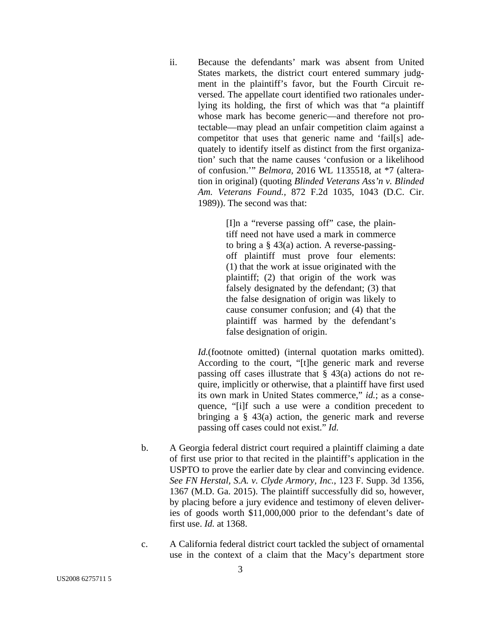ii. Because the defendants' mark was absent from United States markets, the district court entered summary judgment in the plaintiff's favor, but the Fourth Circuit reversed. The appellate court identified two rationales underlying its holding, the first of which was that "a plaintiff whose mark has become generic—and therefore not protectable—may plead an unfair competition claim against a competitor that uses that generic name and 'fail[s] adequately to identify itself as distinct from the first organization' such that the name causes 'confusion or a likelihood of confusion.'" *Belmora,* 2016 WL 1135518, at \*7 (alteration in original) (quoting *Blinded Veterans Ass'n v. Blinded Am. Veterans Found.,* 872 F.2d 1035, 1043 (D.C. Cir. 1989)). The second was that:

> [I]n a "reverse passing off" case, the plaintiff need not have used a mark in commerce to bring a § 43(a) action. A reverse-passingoff plaintiff must prove four elements: (1) that the work at issue originated with the plaintiff; (2) that origin of the work was falsely designated by the defendant; (3) that the false designation of origin was likely to cause consumer confusion; and (4) that the plaintiff was harmed by the defendant's false designation of origin.

*Id.*(footnote omitted) (internal quotation marks omitted). According to the court, "[t]he generic mark and reverse passing off cases illustrate that § 43(a) actions do not require, implicitly or otherwise, that a plaintiff have first used its own mark in United States commerce," *id.*; as a consequence, "[i]f such a use were a condition precedent to bringing a § 43(a) action, the generic mark and reverse passing off cases could not exist." *Id.*

- b. A Georgia federal district court required a plaintiff claiming a date of first use prior to that recited in the plaintiff's application in the USPTO to prove the earlier date by clear and convincing evidence. *See FN Herstal, S.A. v. Clyde Armory, Inc.*, 123 F. Supp. 3d 1356, 1367 (M.D. Ga. 2015). The plaintiff successfully did so, however, by placing before a jury evidence and testimony of eleven deliveries of goods worth \$11,000,000 prior to the defendant's date of first use. *Id.* at 1368.
- c. A California federal district court tackled the subject of ornamental use in the context of a claim that the Macy's department store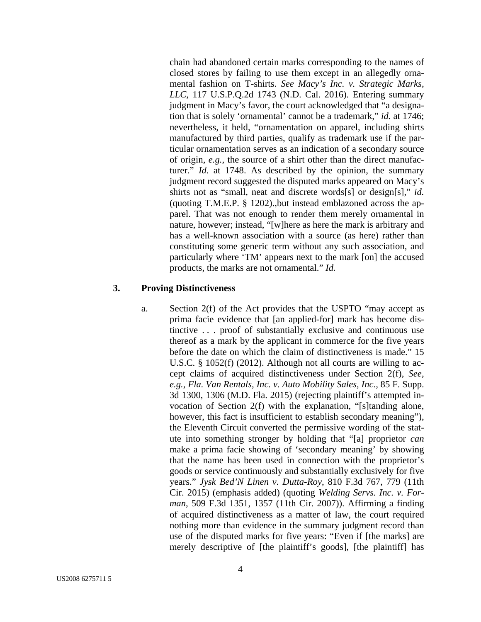chain had abandoned certain marks corresponding to the names of closed stores by failing to use them except in an allegedly ornamental fashion on T-shirts. *See Macy's Inc. v. Strategic Marks, LLC*, 117 U.S.P.Q.2d 1743 (N.D. Cal. 2016). Entering summary judgment in Macy's favor, the court acknowledged that "a designation that is solely 'ornamental' cannot be a trademark," *id.* at 1746; nevertheless, it held, "ornamentation on apparel, including shirts manufactured by third parties, qualify as trademark use if the particular ornamentation serves as an indication of a secondary source of origin, *e.g.*, the source of a shirt other than the direct manufacturer." *Id.* at 1748. As described by the opinion, the summary judgment record suggested the disputed marks appeared on Macy's shirts not as "small, neat and discrete words[s] or design[s]," *id.*  (quoting T.M.E.P. § 1202).,but instead emblazoned across the apparel. That was not enough to render them merely ornamental in nature, however; instead, "[w]here as here the mark is arbitrary and has a well-known association with a source (as here) rather than constituting some generic term without any such association, and particularly where 'TM' appears next to the mark [on] the accused products, the marks are not ornamental." *Id.*

#### **3. Proving Distinctiveness**

a. Section 2(f) of the Act provides that the USPTO "may accept as prima facie evidence that [an applied-for] mark has become distinctive . . . proof of substantially exclusive and continuous use thereof as a mark by the applicant in commerce for the five years before the date on which the claim of distinctiveness is made." 15 U.S.C. § 1052(f) (2012). Although not all courts are willing to accept claims of acquired distinctiveness under Section 2(f), *See, e.g.*, *Fla. Van Rentals, Inc. v. Auto Mobility Sales, Inc.,* 85 F. Supp. 3d 1300, 1306 (M.D. Fla. 2015) (rejecting plaintiff's attempted invocation of Section 2(f) with the explanation, "[s]tanding alone, however, this fact is insufficient to establish secondary meaning"), the Eleventh Circuit converted the permissive wording of the statute into something stronger by holding that "[a] proprietor *can* make a prima facie showing of 'secondary meaning' by showing that the name has been used in connection with the proprietor's goods or service continuously and substantially exclusively for five years." *Jysk Bed'N Linen v. Dutta-Roy*, 810 F.3d 767, 779 (11th Cir. 2015) (emphasis added) (quoting *Welding Servs. Inc. v. Forman*, 509 F.3d 1351, 1357 (11th Cir. 2007)). Affirming a finding of acquired distinctiveness as a matter of law, the court required nothing more than evidence in the summary judgment record than use of the disputed marks for five years: "Even if [the marks] are merely descriptive of [the plaintiff's goods], [the plaintiff] has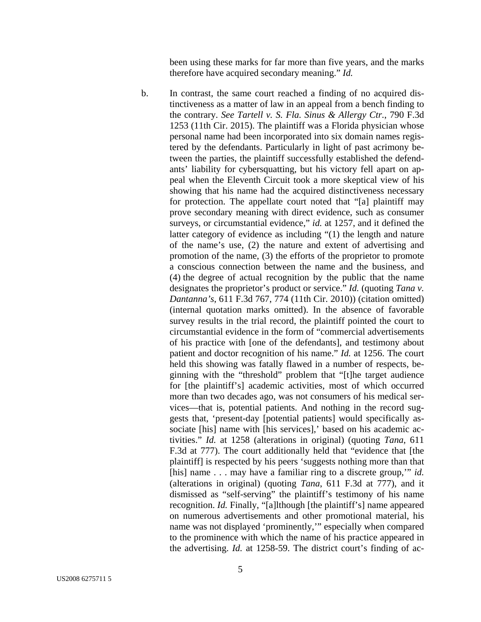been using these marks for far more than five years, and the marks therefore have acquired secondary meaning." *Id.* 

b. In contrast, the same court reached a finding of no acquired distinctiveness as a matter of law in an appeal from a bench finding to the contrary. *See Tartell v. S. Fla. Sinus & Allergy Ctr.*, 790 F.3d 1253 (11th Cir. 2015). The plaintiff was a Florida physician whose personal name had been incorporated into six domain names registered by the defendants. Particularly in light of past acrimony between the parties, the plaintiff successfully established the defendants' liability for cybersquatting, but his victory fell apart on appeal when the Eleventh Circuit took a more skeptical view of his showing that his name had the acquired distinctiveness necessary for protection. The appellate court noted that "[a] plaintiff may prove secondary meaning with direct evidence, such as consumer surveys, or circumstantial evidence," *id.* at 1257, and it defined the latter category of evidence as including "(1) the length and nature of the name's use, (2) the nature and extent of advertising and promotion of the name, (3) the efforts of the proprietor to promote a conscious connection between the name and the business, and (4) the degree of actual recognition by the public that the name designates the proprietor's product or service." *Id.* (quoting *Tana v. Dantanna's*, 611 F.3d 767, 774 (11th Cir. 2010)) (citation omitted) (internal quotation marks omitted). In the absence of favorable survey results in the trial record, the plaintiff pointed the court to circumstantial evidence in the form of "commercial advertisements of his practice with [one of the defendants], and testimony about patient and doctor recognition of his name." *Id.* at 1256. The court held this showing was fatally flawed in a number of respects, beginning with the "threshold" problem that "[t]he target audience for [the plaintiff's] academic activities, most of which occurred more than two decades ago, was not consumers of his medical services—that is, potential patients. And nothing in the record suggests that, 'present-day [potential patients] would specifically associate [his] name with [his services],' based on his academic activities." *Id.* at 1258 (alterations in original) (quoting *Tana*, 611 F.3d at 777). The court additionally held that "evidence that [the plaintiff] is respected by his peers 'suggests nothing more than that [his] name . . . may have a familiar ring to a discrete group,'" *id.* (alterations in original) (quoting *Tana*, 611 F.3d at 777), and it dismissed as "self-serving" the plaintiff's testimony of his name recognition. *Id.* Finally, "[a]lthough [the plaintiff's] name appeared on numerous advertisements and other promotional material, his name was not displayed 'prominently,'" especially when compared to the prominence with which the name of his practice appeared in the advertising. *Id.* at 1258-59. The district court's finding of ac-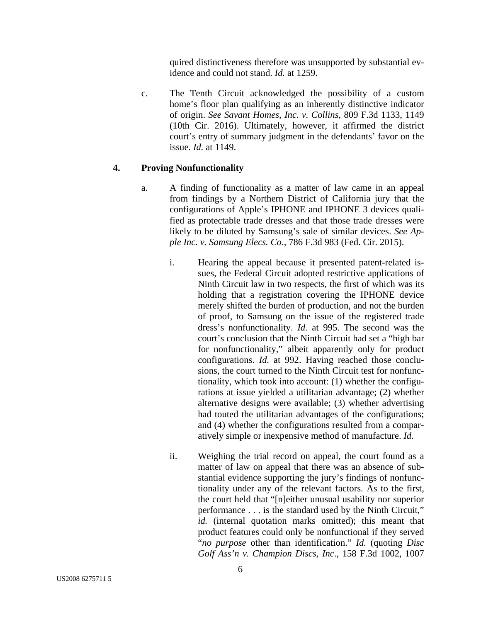quired distinctiveness therefore was unsupported by substantial evidence and could not stand. *Id.* at 1259.

c. The Tenth Circuit acknowledged the possibility of a custom home's floor plan qualifying as an inherently distinctive indicator of origin. *See Savant Homes, Inc. v. Collins*, 809 F.3d 1133, 1149 (10th Cir. 2016). Ultimately, however, it affirmed the district court's entry of summary judgment in the defendants' favor on the issue. *Id.* at 1149.

#### **4. Proving Nonfunctionality**

- a. A finding of functionality as a matter of law came in an appeal from findings by a Northern District of California jury that the configurations of Apple's IPHONE and IPHONE 3 devices qualified as protectable trade dresses and that those trade dresses were likely to be diluted by Samsung's sale of similar devices. *See Apple Inc. v. Samsung Elecs. Co*., 786 F.3d 983 (Fed. Cir. 2015).
	- i. Hearing the appeal because it presented patent-related issues, the Federal Circuit adopted restrictive applications of Ninth Circuit law in two respects, the first of which was its holding that a registration covering the IPHONE device merely shifted the burden of production, and not the burden of proof, to Samsung on the issue of the registered trade dress's nonfunctionality. *Id.* at 995. The second was the court's conclusion that the Ninth Circuit had set a "high bar for nonfunctionality," albeit apparently only for product configurations. *Id.* at 992. Having reached those conclusions, the court turned to the Ninth Circuit test for nonfunctionality, which took into account: (1) whether the configurations at issue yielded a utilitarian advantage; (2) whether alternative designs were available; (3) whether advertising had touted the utilitarian advantages of the configurations; and (4) whether the configurations resulted from a comparatively simple or inexpensive method of manufacture. *Id.*
	- ii. Weighing the trial record on appeal, the court found as a matter of law on appeal that there was an absence of substantial evidence supporting the jury's findings of nonfunctionality under any of the relevant factors. As to the first, the court held that "[n]either unusual usability nor superior performance . . . is the standard used by the Ninth Circuit," *id.* (internal quotation marks omitted); this meant that product features could only be nonfunctional if they served "*no purpose* other than identification." *Id.* (quoting *Disc Golf Ass'n v. Champion Discs, Inc*., 158 F.3d 1002, 1007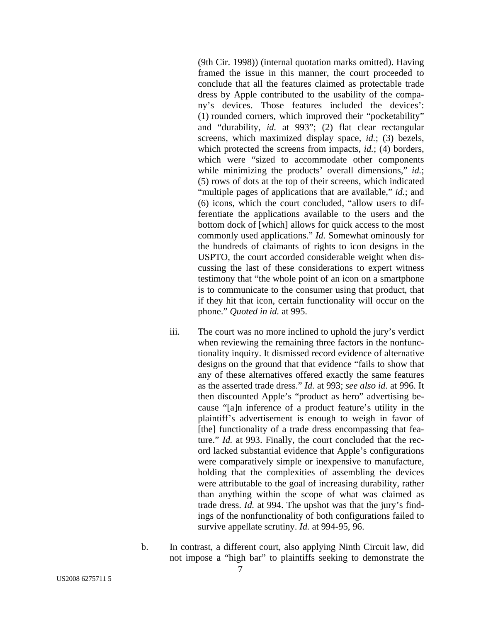(9th Cir. 1998)) (internal quotation marks omitted). Having framed the issue in this manner, the court proceeded to conclude that all the features claimed as protectable trade dress by Apple contributed to the usability of the company's devices. Those features included the devices': (1) rounded corners, which improved their "pocketability" and "durability, *id.* at 993"; (2) flat clear rectangular screens, which maximized display space, *id.*; (3) bezels, which protected the screens from impacts, *id.*; (4) borders, which were "sized to accommodate other components while minimizing the products' overall dimensions," *id.*; (5) rows of dots at the top of their screens, which indicated "multiple pages of applications that are available," *id.*; and (6) icons, which the court concluded, "allow users to differentiate the applications available to the users and the bottom dock of [which] allows for quick access to the most commonly used applications." *Id.* Somewhat ominously for the hundreds of claimants of rights to icon designs in the USPTO, the court accorded considerable weight when discussing the last of these considerations to expert witness testimony that "the whole point of an icon on a smartphone is to communicate to the consumer using that product, that if they hit that icon, certain functionality will occur on the phone." *Quoted in id.* at 995.

- iii. The court was no more inclined to uphold the jury's verdict when reviewing the remaining three factors in the nonfunctionality inquiry. It dismissed record evidence of alternative designs on the ground that that evidence "fails to show that any of these alternatives offered exactly the same features as the asserted trade dress." *Id.* at 993; *see also id.* at 996. It then discounted Apple's "product as hero" advertising because "[a]n inference of a product feature's utility in the plaintiff's advertisement is enough to weigh in favor of [the] functionality of a trade dress encompassing that feature." *Id.* at 993. Finally, the court concluded that the record lacked substantial evidence that Apple's configurations were comparatively simple or inexpensive to manufacture, holding that the complexities of assembling the devices were attributable to the goal of increasing durability, rather than anything within the scope of what was claimed as trade dress. *Id.* at 994. The upshot was that the jury's findings of the nonfunctionality of both configurations failed to survive appellate scrutiny. *Id.* at 994-95, 96.
- b. In contrast, a different court, also applying Ninth Circuit law, did not impose a "high bar" to plaintiffs seeking to demonstrate the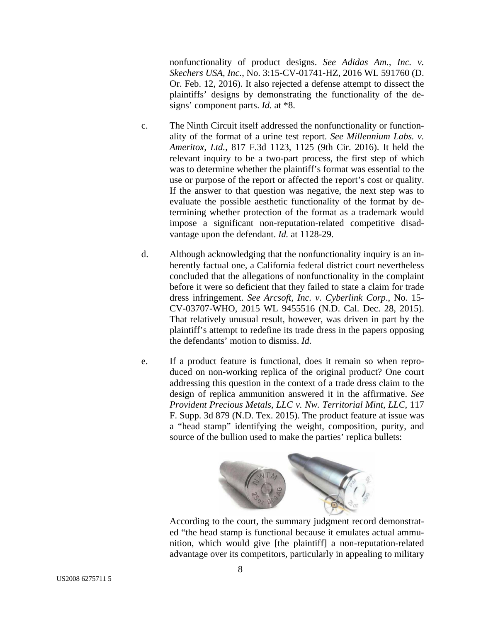nonfunctionality of product designs. *See Adidas Am., Inc. v. Skechers USA, Inc.*, No. 3:15-CV-01741-HZ, 2016 WL 591760 (D. Or. Feb. 12, 2016). It also rejected a defense attempt to dissect the plaintiffs' designs by demonstrating the functionality of the designs' component parts. *Id.* at \*8.

- c. The Ninth Circuit itself addressed the nonfunctionality or functionality of the format of a urine test report. *See Millennium Labs. v. Ameritox, Ltd.*, 817 F.3d 1123, 1125 (9th Cir. 2016). It held the relevant inquiry to be a two-part process, the first step of which was to determine whether the plaintiff's format was essential to the use or purpose of the report or affected the report's cost or quality. If the answer to that question was negative, the next step was to evaluate the possible aesthetic functionality of the format by determining whether protection of the format as a trademark would impose a significant non-reputation-related competitive disadvantage upon the defendant. *Id.* at 1128-29.
- d. Although acknowledging that the nonfunctionality inquiry is an inherently factual one, a California federal district court nevertheless concluded that the allegations of nonfunctionality in the complaint before it were so deficient that they failed to state a claim for trade dress infringement. *See Arcsoft, Inc. v. Cyberlink Corp*., No. 15- CV-03707-WHO, 2015 WL 9455516 (N.D. Cal. Dec. 28, 2015). That relatively unusual result, however, was driven in part by the plaintiff's attempt to redefine its trade dress in the papers opposing the defendants' motion to dismiss. *Id.*
- e. If a product feature is functional, does it remain so when reproduced on non-working replica of the original product? One court addressing this question in the context of a trade dress claim to the design of replica ammunition answered it in the affirmative. *See Provident Precious Metals, LLC v. Nw. Territorial Mint, LLC*, 117 F. Supp. 3d 879 (N.D. Tex. 2015). The product feature at issue was a "head stamp" identifying the weight, composition, purity, and source of the bullion used to make the parties' replica bullets:



According to the court, the summary judgment record demonstrated "the head stamp is functional because it emulates actual ammunition, which would give [the plaintiff] a non-reputation-related advantage over its competitors, particularly in appealing to military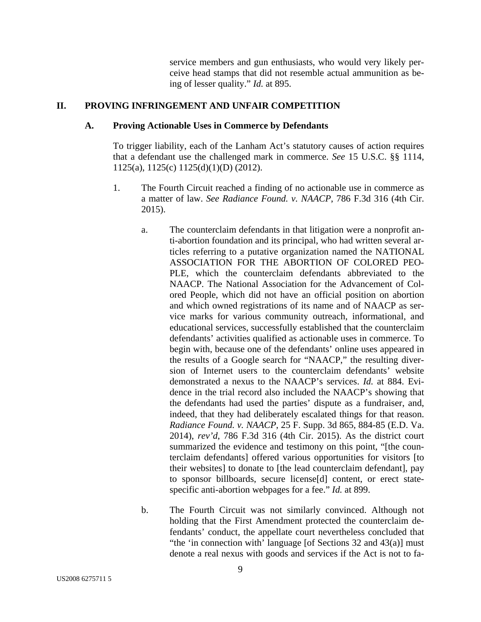service members and gun enthusiasts, who would very likely perceive head stamps that did not resemble actual ammunition as being of lesser quality." *Id.* at 895.

## **II. PROVING INFRINGEMENT AND UNFAIR COMPETITION**

#### **A. Proving Actionable Uses in Commerce by Defendants**

To trigger liability, each of the Lanham Act's statutory causes of action requires that a defendant use the challenged mark in commerce. *See* 15 U.S.C. §§ 1114, 1125(a), 1125(c) 1125(d)(1)(D) (2012).

- 1. The Fourth Circuit reached a finding of no actionable use in commerce as a matter of law. *See Radiance Found. v. NAACP*, 786 F.3d 316 (4th Cir. 2015).
	- a. The counterclaim defendants in that litigation were a nonprofit anti-abortion foundation and its principal, who had written several articles referring to a putative organization named the NATIONAL ASSOCIATION FOR THE ABORTION OF COLORED PEO-PLE, which the counterclaim defendants abbreviated to the NAACP. The National Association for the Advancement of Colored People, which did not have an official position on abortion and which owned registrations of its name and of NAACP as service marks for various community outreach, informational, and educational services, successfully established that the counterclaim defendants' activities qualified as actionable uses in commerce. To begin with, because one of the defendants' online uses appeared in the results of a Google search for "NAACP," the resulting diversion of Internet users to the counterclaim defendants' website demonstrated a nexus to the NAACP's services. *Id.* at 884. Evidence in the trial record also included the NAACP's showing that the defendants had used the parties' dispute as a fundraiser, and, indeed, that they had deliberately escalated things for that reason. *Radiance Found. v. NAACP*, 25 F. Supp. 3d 865, 884-85 (E.D. Va. 2014), *rev'd*, 786 F.3d 316 (4th Cir. 2015). As the district court summarized the evidence and testimony on this point, "[the counterclaim defendants] offered various opportunities for visitors [to their websites] to donate to [the lead counterclaim defendant], pay to sponsor billboards, secure license[d] content, or erect statespecific anti-abortion webpages for a fee." *Id.* at 899.
	- b. The Fourth Circuit was not similarly convinced. Although not holding that the First Amendment protected the counterclaim defendants' conduct, the appellate court nevertheless concluded that "the 'in connection with' language [of Sections  $32$  and  $43(a)$ ] must denote a real nexus with goods and services if the Act is not to fa-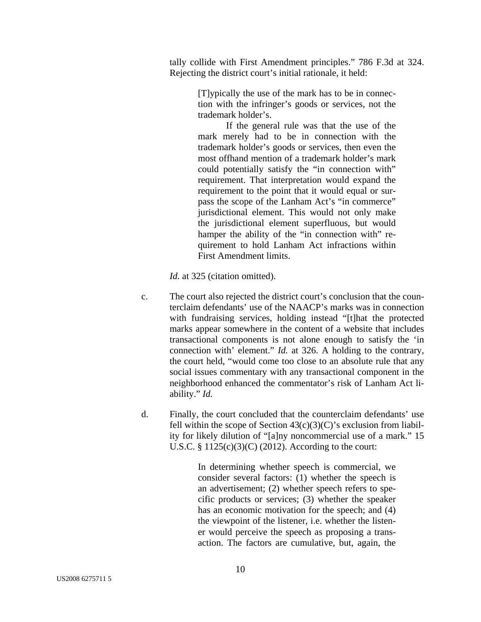tally collide with First Amendment principles." 786 F.3d at 324. Rejecting the district court's initial rationale, it held:

> [T]ypically the use of the mark has to be in connection with the infringer's goods or services, not the trademark holder's.

> If the general rule was that the use of the mark merely had to be in connection with the trademark holder's goods or services, then even the most offhand mention of a trademark holder's mark could potentially satisfy the "in connection with" requirement. That interpretation would expand the requirement to the point that it would equal or surpass the scope of the Lanham Act's "in commerce" jurisdictional element. This would not only make the jurisdictional element superfluous, but would hamper the ability of the "in connection with" requirement to hold Lanham Act infractions within First Amendment limits.

*Id.* at 325 (citation omitted).

- c. The court also rejected the district court's conclusion that the counterclaim defendants' use of the NAACP's marks was in connection with fundraising services, holding instead "[t]hat the protected marks appear somewhere in the content of a website that includes transactional components is not alone enough to satisfy the 'in connection with' element." *Id.* at 326. A holding to the contrary, the court held, "would come too close to an absolute rule that any social issues commentary with any transactional component in the neighborhood enhanced the commentator's risk of Lanham Act liability." *Id.*
- d. Finally, the court concluded that the counterclaim defendants' use fell within the scope of Section  $43(c)(3)(C)$ 's exclusion from liability for likely dilution of "[a]ny noncommercial use of a mark." 15 U.S.C. § 1125(c)(3)(C) (2012). According to the court:

In determining whether speech is commercial, we consider several factors: (1) whether the speech is an advertisement; (2) whether speech refers to specific products or services; (3) whether the speaker has an economic motivation for the speech; and (4) the viewpoint of the listener, i.e. whether the listener would perceive the speech as proposing a transaction. The factors are cumulative, but, again, the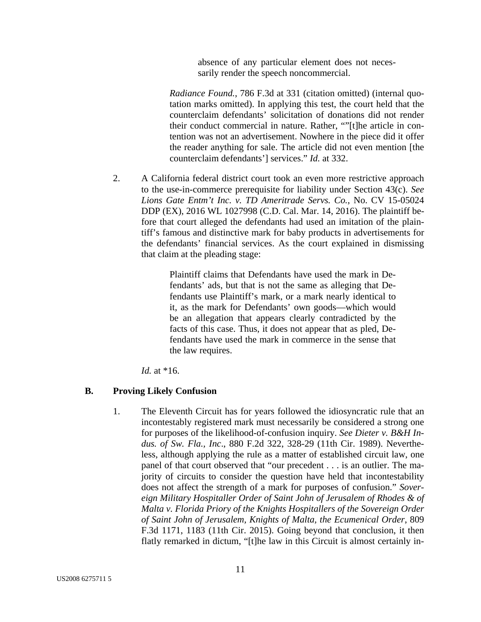absence of any particular element does not necessarily render the speech noncommercial.

*Radiance Found.*, 786 F.3d at 331 (citation omitted) (internal quotation marks omitted). In applying this test, the court held that the counterclaim defendants' solicitation of donations did not render their conduct commercial in nature. Rather, ""[t]he article in contention was not an advertisement. Nowhere in the piece did it offer the reader anything for sale. The article did not even mention [the counterclaim defendants'] services." *Id.* at 332.

2. A California federal district court took an even more restrictive approach to the use-in-commerce prerequisite for liability under Section 43(c). *See Lions Gate Entm't Inc. v. TD Ameritrade Servs. Co.*, No. CV 15-05024 DDP (EX), 2016 WL 1027998 (C.D. Cal. Mar. 14, 2016). The plaintiff before that court alleged the defendants had used an imitation of the plaintiff's famous and distinctive mark for baby products in advertisements for the defendants' financial services. As the court explained in dismissing that claim at the pleading stage:

> Plaintiff claims that Defendants have used the mark in Defendants' ads, but that is not the same as alleging that Defendants use Plaintiff's mark, or a mark nearly identical to it, as the mark for Defendants' own goods—which would be an allegation that appears clearly contradicted by the facts of this case. Thus, it does not appear that as pled, Defendants have used the mark in commerce in the sense that the law requires.

*Id.* at \*16.

#### **B. Proving Likely Confusion**

1. The Eleventh Circuit has for years followed the idiosyncratic rule that an incontestably registered mark must necessarily be considered a strong one for purposes of the likelihood-of-confusion inquiry. *See Dieter v. B&H Indus. of Sw. Fla., Inc*., 880 F.2d 322, 328-29 (11th Cir. 1989). Nevertheless, although applying the rule as a matter of established circuit law, one panel of that court observed that "our precedent . . . is an outlier. The majority of circuits to consider the question have held that incontestability does not affect the strength of a mark for purposes of confusion." *Sovereign Military Hospitaller Order of Saint John of Jerusalem of Rhodes & of Malta v. Florida Priory of the Knights Hospitallers of the Sovereign Order of Saint John of Jerusalem, Knights of Malta, the Ecumenical Order*, 809 F.3d 1171, 1183 (11th Cir. 2015). Going beyond that conclusion, it then flatly remarked in dictum, "[t]he law in this Circuit is almost certainly in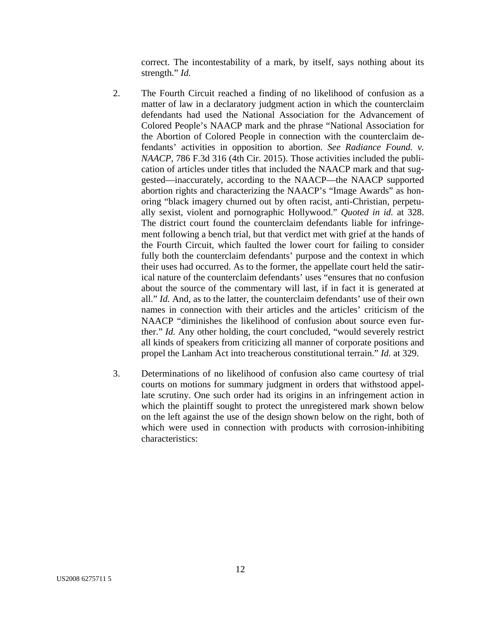correct. The incontestability of a mark, by itself, says nothing about its strength." *Id.*

- 2. The Fourth Circuit reached a finding of no likelihood of confusion as a matter of law in a declaratory judgment action in which the counterclaim defendants had used the National Association for the Advancement of Colored People's NAACP mark and the phrase "National Association for the Abortion of Colored People in connection with the counterclaim defendants' activities in opposition to abortion. *See Radiance Found. v. NAACP*, 786 F.3d 316 (4th Cir. 2015). Those activities included the publication of articles under titles that included the NAACP mark and that suggested—inaccurately, according to the NAACP—the NAACP supported abortion rights and characterizing the NAACP's "Image Awards" as honoring "black imagery churned out by often racist, anti-Christian, perpetually sexist, violent and pornographic Hollywood." *Quoted in id.* at 328. The district court found the counterclaim defendants liable for infringement following a bench trial, but that verdict met with grief at the hands of the Fourth Circuit, which faulted the lower court for failing to consider fully both the counterclaim defendants' purpose and the context in which their uses had occurred. As to the former, the appellate court held the satirical nature of the counterclaim defendants' uses "ensures that no confusion about the source of the commentary will last, if in fact it is generated at all." *Id.* And, as to the latter, the counterclaim defendants' use of their own names in connection with their articles and the articles' criticism of the NAACP "diminishes the likelihood of confusion about source even further." *Id.* Any other holding, the court concluded, "would severely restrict all kinds of speakers from criticizing all manner of corporate positions and propel the Lanham Act into treacherous constitutional terrain." *Id.* at 329.
- 3. Determinations of no likelihood of confusion also came courtesy of trial courts on motions for summary judgment in orders that withstood appellate scrutiny. One such order had its origins in an infringement action in which the plaintiff sought to protect the unregistered mark shown below on the left against the use of the design shown below on the right, both of which were used in connection with products with corrosion-inhibiting characteristics: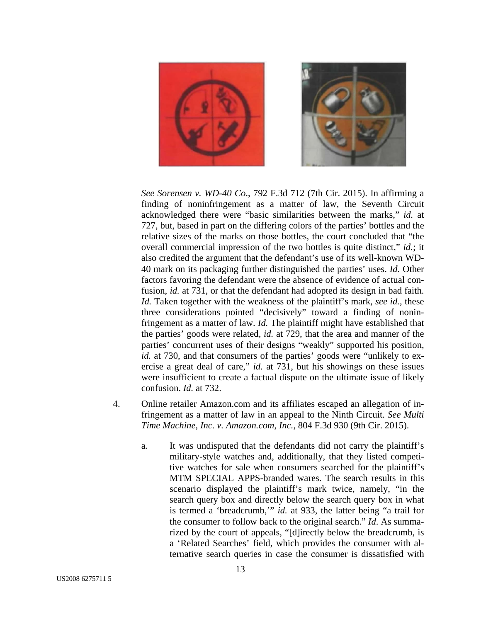

*See Sorensen v. WD-40 Co*., 792 F.3d 712 (7th Cir. 2015). In affirming a finding of noninfringement as a matter of law, the Seventh Circuit acknowledged there were "basic similarities between the marks," *id.* at 727, but, based in part on the differing colors of the parties' bottles and the relative sizes of the marks on those bottles, the court concluded that "the overall commercial impression of the two bottles is quite distinct," *id.*; it also credited the argument that the defendant's use of its well-known WD-40 mark on its packaging further distinguished the parties' uses. *Id.* Other factors favoring the defendant were the absence of evidence of actual confusion, *id.* at 731, or that the defendant had adopted its design in bad faith. *Id.* Taken together with the weakness of the plaintiff's mark, *see id.*, these three considerations pointed "decisively" toward a finding of noninfringement as a matter of law. *Id.* The plaintiff might have established that the parties' goods were related, *id.* at 729, that the area and manner of the parties' concurrent uses of their designs "weakly" supported his position, *id.* at 730, and that consumers of the parties' goods were "unlikely to exercise a great deal of care," *id.* at 731, but his showings on these issues were insufficient to create a factual dispute on the ultimate issue of likely confusion. *Id.* at 732.

- 4. Online retailer Amazon.com and its affiliates escaped an allegation of infringement as a matter of law in an appeal to the Ninth Circuit. *See Multi Time Machine, Inc. v. Amazon.com, Inc.*, 804 F.3d 930 (9th Cir. 2015).
	- a. It was undisputed that the defendants did not carry the plaintiff's military-style watches and, additionally, that they listed competitive watches for sale when consumers searched for the plaintiff's MTM SPECIAL APPS-branded wares. The search results in this scenario displayed the plaintiff's mark twice, namely, "in the search query box and directly below the search query box in what is termed a 'breadcrumb,'" *id.* at 933, the latter being "a trail for the consumer to follow back to the original search." *Id*. As summarized by the court of appeals, "[d]irectly below the breadcrumb, is a 'Related Searches' field, which provides the consumer with alternative search queries in case the consumer is dissatisfied with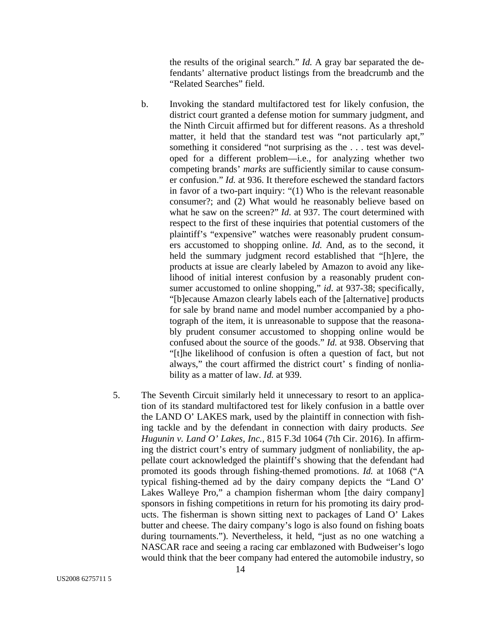the results of the original search." *Id.* A gray bar separated the defendants' alternative product listings from the breadcrumb and the "Related Searches" field.

- b. Invoking the standard multifactored test for likely confusion, the district court granted a defense motion for summary judgment, and the Ninth Circuit affirmed but for different reasons. As a threshold matter, it held that the standard test was "not particularly apt," something it considered "not surprising as the . . . test was developed for a different problem—i.e., for analyzing whether two competing brands' *marks* are sufficiently similar to cause consumer confusion." *Id.* at 936. It therefore eschewed the standard factors in favor of a two-part inquiry: "(1) Who is the relevant reasonable consumer?; and (2) What would he reasonably believe based on what he saw on the screen?" *Id.* at 937. The court determined with respect to the first of these inquiries that potential customers of the plaintiff's "expensive" watches were reasonably prudent consumers accustomed to shopping online. *Id.* And, as to the second, it held the summary judgment record established that "[h]ere, the products at issue are clearly labeled by Amazon to avoid any likelihood of initial interest confusion by a reasonably prudent consumer accustomed to online shopping," *id.* at 937-38; specifically, "[b]ecause Amazon clearly labels each of the [alternative] products for sale by brand name and model number accompanied by a photograph of the item, it is unreasonable to suppose that the reasonably prudent consumer accustomed to shopping online would be confused about the source of the goods." *Id.* at 938. Observing that "[t]he likelihood of confusion is often a question of fact, but not always," the court affirmed the district court' s finding of nonliability as a matter of law. *Id.* at 939.
- 5. The Seventh Circuit similarly held it unnecessary to resort to an application of its standard multifactored test for likely confusion in a battle over the LAND O' LAKES mark, used by the plaintiff in connection with fishing tackle and by the defendant in connection with dairy products. *See Hugunin v. Land O' Lakes, Inc.*, 815 F.3d 1064 (7th Cir. 2016). In affirming the district court's entry of summary judgment of nonliability, the appellate court acknowledged the plaintiff's showing that the defendant had promoted its goods through fishing-themed promotions. *Id.* at 1068 ("A typical fishing-themed ad by the dairy company depicts the "Land O' Lakes Walleye Pro," a champion fisherman whom [the dairy company] sponsors in fishing competitions in return for his promoting its dairy products. The fisherman is shown sitting next to packages of Land O' Lakes butter and cheese. The dairy company's logo is also found on fishing boats during tournaments."). Nevertheless, it held, "just as no one watching a NASCAR race and seeing a racing car emblazoned with Budweiser's logo would think that the beer company had entered the automobile industry, so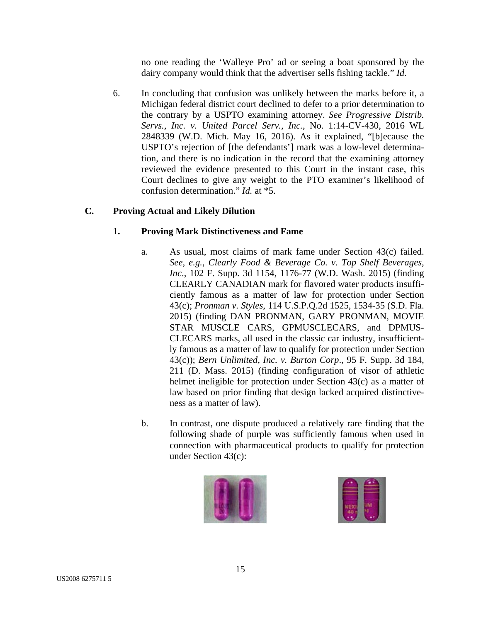no one reading the 'Walleye Pro' ad or seeing a boat sponsored by the dairy company would think that the advertiser sells fishing tackle." *Id.*

6. In concluding that confusion was unlikely between the marks before it, a Michigan federal district court declined to defer to a prior determination to the contrary by a USPTO examining attorney. *See Progressive Distrib. Servs., Inc. v. United Parcel Serv., Inc.*, No. 1:14-CV-430, 2016 WL 2848339 (W.D. Mich. May 16, 2016). As it explained, "[b]ecause the USPTO's rejection of [the defendants'] mark was a low-level determination, and there is no indication in the record that the examining attorney reviewed the evidence presented to this Court in the instant case, this Court declines to give any weight to the PTO examiner's likelihood of confusion determination." *Id.* at \*5.

## **C. Proving Actual and Likely Dilution**

## **1. Proving Mark Distinctiveness and Fame**

- a. As usual, most claims of mark fame under Section 43(c) failed. *See, e.g.*, *Clearly Food & Beverage Co. v. Top Shelf Beverages, Inc*., 102 F. Supp. 3d 1154, 1176-77 (W.D. Wash. 2015) (finding CLEARLY CANADIAN mark for flavored water products insufficiently famous as a matter of law for protection under Section 43(c); *Pronman v. Styles*, 114 U.S.P.Q.2d 1525, 1534-35 (S.D. Fla. 2015) (finding DAN PRONMAN, GARY PRONMAN, MOVIE STAR MUSCLE CARS, GPMUSCLECARS, and DPMUS-CLECARS marks, all used in the classic car industry, insufficiently famous as a matter of law to qualify for protection under Section 43(c)); *Bern Unlimited, Inc. v. Burton Corp*., 95 F. Supp. 3d 184, 211 (D. Mass. 2015) (finding configuration of visor of athletic helmet ineligible for protection under Section 43(c) as a matter of law based on prior finding that design lacked acquired distinctiveness as a matter of law).
- b. In contrast, one dispute produced a relatively rare finding that the following shade of purple was sufficiently famous when used in connection with pharmaceutical products to qualify for protection under Section 43(c):



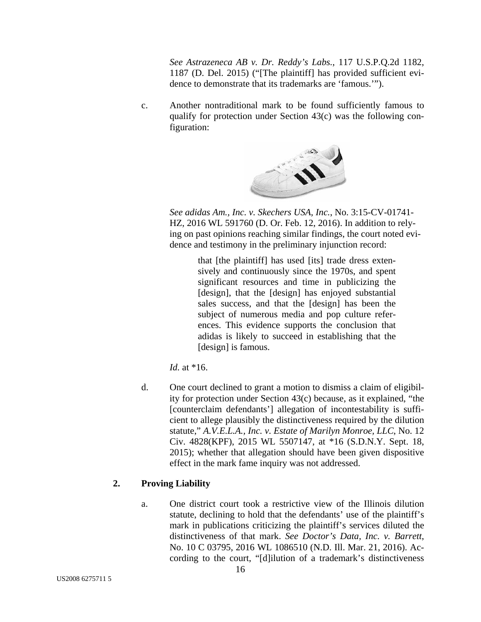*See Astrazeneca AB v. Dr. Reddy's Labs.*, 117 U.S.P.Q.2d 1182, 1187 (D. Del. 2015) ("[The plaintiff] has provided sufficient evidence to demonstrate that its trademarks are 'famous.'").

c. Another nontraditional mark to be found sufficiently famous to qualify for protection under Section 43(c) was the following configuration:



*See adidas Am., Inc. v. Skechers USA, Inc.*, No. 3:15-CV-01741- HZ, 2016 WL 591760 (D. Or. Feb. 12, 2016). In addition to relying on past opinions reaching similar findings, the court noted evidence and testimony in the preliminary injunction record:

> that [the plaintiff] has used [its] trade dress extensively and continuously since the 1970s, and spent significant resources and time in publicizing the [design], that the [design] has enjoyed substantial sales success, and that the [design] has been the subject of numerous media and pop culture references. This evidence supports the conclusion that adidas is likely to succeed in establishing that the [design] is famous.

*Id.* at \*16.

d. One court declined to grant a motion to dismiss a claim of eligibility for protection under Section 43(c) because, as it explained, "the [counterclaim defendants'] allegation of incontestability is sufficient to allege plausibly the distinctiveness required by the dilution statute," *A.V.E.L.A., Inc. v. Estate of Marilyn Monroe, LLC*, No. 12 Civ. 4828(KPF), 2015 WL 5507147, at \*16 (S.D.N.Y. Sept. 18, 2015); whether that allegation should have been given dispositive effect in the mark fame inquiry was not addressed.

## **2. Proving Liability**

a. One district court took a restrictive view of the Illinois dilution statute, declining to hold that the defendants' use of the plaintiff's mark in publications criticizing the plaintiff's services diluted the distinctiveness of that mark. *See Doctor's Data, Inc. v. Barrett*, No. 10 C 03795, 2016 WL 1086510 (N.D. Ill. Mar. 21, 2016). According to the court, "[d]ilution of a trademark's distinctiveness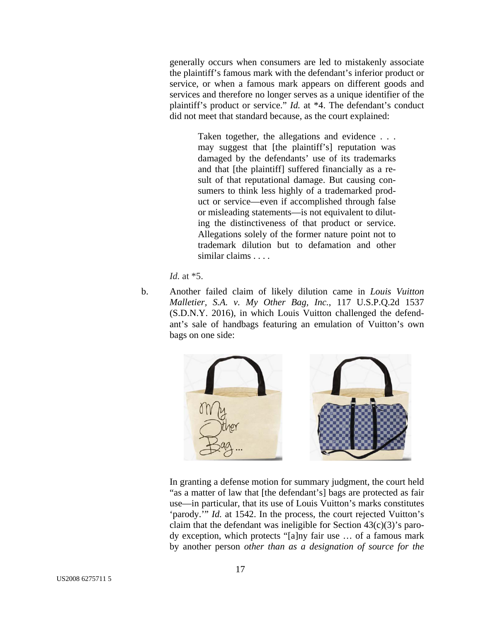generally occurs when consumers are led to mistakenly associate the plaintiff's famous mark with the defendant's inferior product or service, or when a famous mark appears on different goods and services and therefore no longer serves as a unique identifier of the plaintiff's product or service." *Id.* at \*4. The defendant's conduct did not meet that standard because, as the court explained:

> Taken together, the allegations and evidence . . . may suggest that [the plaintiff's] reputation was damaged by the defendants' use of its trademarks and that [the plaintiff] suffered financially as a result of that reputational damage. But causing consumers to think less highly of a trademarked product or service—even if accomplished through false or misleading statements—is not equivalent to diluting the distinctiveness of that product or service. Allegations solely of the former nature point not to trademark dilution but to defamation and other similar claims . . . .

*Id.* at \*5.

b. Another failed claim of likely dilution came in *Louis Vuitton Malletier, S.A. v. My Other Bag, Inc.*, 117 U.S.P.Q.2d 1537 (S.D.N.Y. 2016), in which Louis Vuitton challenged the defendant's sale of handbags featuring an emulation of Vuitton's own bags on one side:



In granting a defense motion for summary judgment, the court held "as a matter of law that [the defendant's] bags are protected as fair use—in particular, that its use of Louis Vuitton's marks constitutes 'parody.'" *Id.* at 1542. In the process, the court rejected Vuitton's claim that the defendant was ineligible for Section  $43(c)(3)$ 's parody exception, which protects "[a]ny fair use … of a famous mark by another person *other than as a designation of source for the*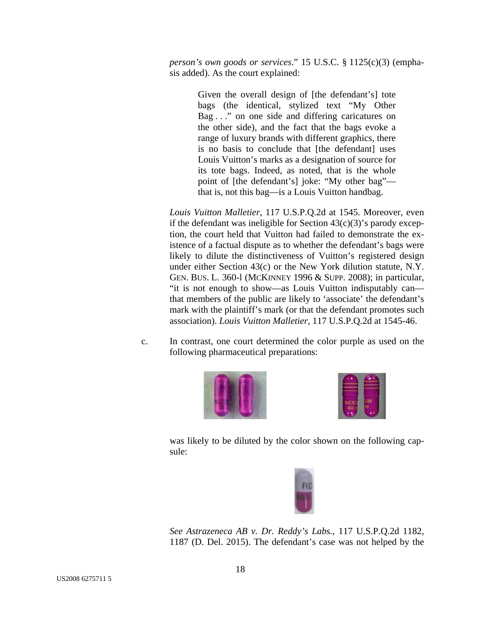*person's own goods or services*." 15 U.S.C. § 1125(c)(3) (emphasis added). As the court explained:

> Given the overall design of [the defendant's] tote bags (the identical, stylized text "My Other Bag . . ." on one side and differing caricatures on the other side), and the fact that the bags evoke a range of luxury brands with different graphics, there is no basis to conclude that [the defendant] uses Louis Vuitton's marks as a designation of source for its tote bags. Indeed, as noted, that is the whole point of [the defendant's] joke: "My other bag" that is, not this bag—is a Louis Vuitton handbag.

*Louis Vuitton Malletier*, 117 U.S.P.Q.2d at 1545. Moreover, even if the defendant was ineligible for Section  $43(c)(3)$ 's parody exception, the court held that Vuitton had failed to demonstrate the existence of a factual dispute as to whether the defendant's bags were likely to dilute the distinctiveness of Vuitton's registered design under either Section 43(c) or the New York dilution statute, N.Y. GEN. BUS. L. 360-l (MCKINNEY 1996 & SUPP. 2008); in particular, "it is not enough to show—as Louis Vuitton indisputably can that members of the public are likely to 'associate' the defendant's mark with the plaintiff's mark (or that the defendant promotes such association). *Louis Vuitton Malletier*, 117 U.S.P.Q.2d at 1545-46.

c. In contrast, one court determined the color purple as used on the following pharmaceutical preparations:





was likely to be diluted by the color shown on the following capsule:



*See Astrazeneca AB v. Dr. Reddy's Labs.*, 117 U.S.P.Q.2d 1182, 1187 (D. Del. 2015). The defendant's case was not helped by the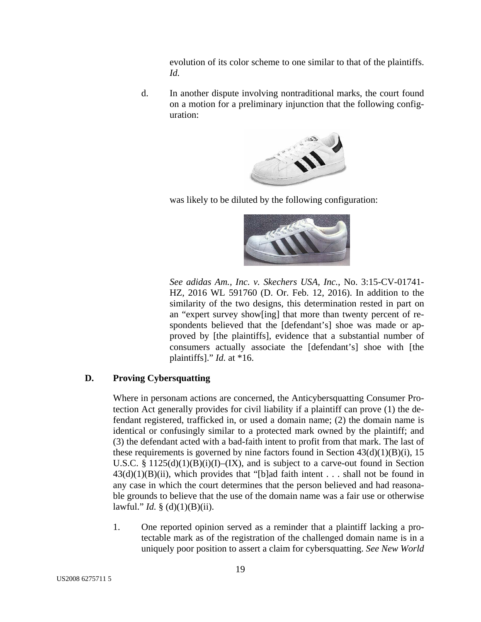evolution of its color scheme to one similar to that of the plaintiffs. *Id.* 

d. In another dispute involving nontraditional marks, the court found on a motion for a preliminary injunction that the following configuration:



was likely to be diluted by the following configuration:



*See adidas Am., Inc. v. Skechers USA, Inc.*, No. 3:15-CV-01741- HZ, 2016 WL 591760 (D. Or. Feb. 12, 2016). In addition to the similarity of the two designs, this determination rested in part on an "expert survey show[ing] that more than twenty percent of respondents believed that the [defendant's] shoe was made or approved by [the plaintiffs], evidence that a substantial number of consumers actually associate the [defendant's] shoe with [the plaintiffs]." *Id.* at \*16.

## **D. Proving Cybersquatting**

Where in personam actions are concerned, the Anticybersquatting Consumer Protection Act generally provides for civil liability if a plaintiff can prove (1) the defendant registered, trafficked in, or used a domain name; (2) the domain name is identical or confusingly similar to a protected mark owned by the plaintiff; and (3) the defendant acted with a bad-faith intent to profit from that mark. The last of these requirements is governed by nine factors found in Section  $43(d)(1)(B)(i)$ , 15 U.S.C. §  $1125(d)(1)(B)(i)(I) - (IX)$ , and is subject to a carve-out found in Section  $43(d)(1)(B)(ii)$ , which provides that "[b]ad faith intent . . . shall not be found in any case in which the court determines that the person believed and had reasonable grounds to believe that the use of the domain name was a fair use or otherwise lawful." *Id.* § (d)(1)(B)(ii).

1. One reported opinion served as a reminder that a plaintiff lacking a protectable mark as of the registration of the challenged domain name is in a uniquely poor position to assert a claim for cybersquatting. *See New World*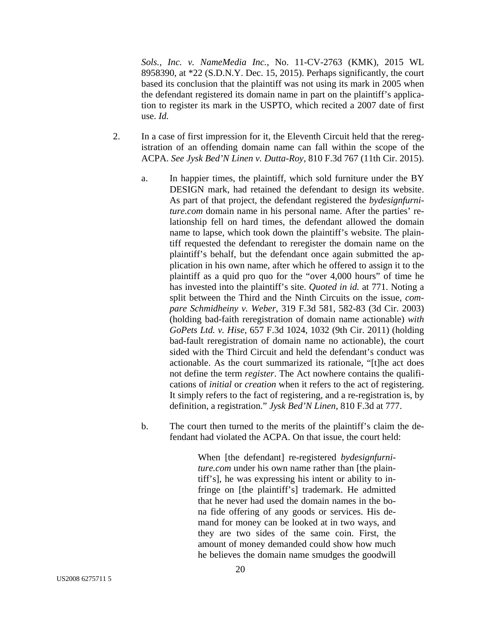*Sols., Inc. v. NameMedia Inc.*, No. 11-CV-2763 (KMK), 2015 WL 8958390, at \*22 (S.D.N.Y. Dec. 15, 2015). Perhaps significantly, the court based its conclusion that the plaintiff was not using its mark in 2005 when the defendant registered its domain name in part on the plaintiff's application to register its mark in the USPTO, which recited a 2007 date of first use. *Id.* 

- 2. In a case of first impression for it, the Eleventh Circuit held that the reregistration of an offending domain name can fall within the scope of the ACPA. *See Jysk Bed'N Linen v. Dutta-Roy*, 810 F.3d 767 (11th Cir. 2015).
	- a. In happier times, the plaintiff, which sold furniture under the BY DESIGN mark, had retained the defendant to design its website. As part of that project, the defendant registered the *bydesignfurniture.com* domain name in his personal name. After the parties' relationship fell on hard times, the defendant allowed the domain name to lapse, which took down the plaintiff's website. The plaintiff requested the defendant to reregister the domain name on the plaintiff's behalf, but the defendant once again submitted the application in his own name, after which he offered to assign it to the plaintiff as a quid pro quo for the "over 4,000 hours" of time he has invested into the plaintiff's site. *Quoted in id.* at 771. Noting a split between the Third and the Ninth Circuits on the issue, *compare Schmidheiny v. Weber*, 319 F.3d 581, 582-83 (3d Cir. 2003) (holding bad-faith reregistration of domain name actionable) *with GoPets Ltd. v. Hise*, 657 F.3d 1024, 1032 (9th Cir. 2011) (holding bad-fault reregistration of domain name no actionable), the court sided with the Third Circuit and held the defendant's conduct was actionable. As the court summarized its rationale, "[t]he act does not define the term *register*. The Act nowhere contains the qualifications of *initial* or *creation* when it refers to the act of registering. It simply refers to the fact of registering, and a re-registration is, by definition, a registration." *Jysk Bed'N Linen*, 810 F.3d at 777.
	- b. The court then turned to the merits of the plaintiff's claim the defendant had violated the ACPA. On that issue, the court held:

When [the defendant] re-registered *bydesignfurniture.com* under his own name rather than [the plaintiff's], he was expressing his intent or ability to infringe on [the plaintiff's] trademark. He admitted that he never had used the domain names in the bona fide offering of any goods or services. His demand for money can be looked at in two ways, and they are two sides of the same coin. First, the amount of money demanded could show how much he believes the domain name smudges the goodwill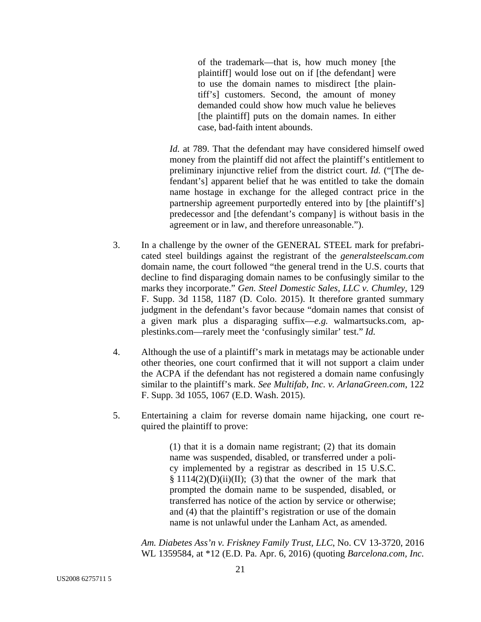of the trademark—that is, how much money [the plaintiff] would lose out on if [the defendant] were to use the domain names to misdirect [the plaintiff's] customers. Second, the amount of money demanded could show how much value he believes [the plaintiff] puts on the domain names. In either case, bad-faith intent abounds.

*Id.* at 789. That the defendant may have considered himself owed money from the plaintiff did not affect the plaintiff's entitlement to preliminary injunctive relief from the district court. *Id.* ("[The defendant's] apparent belief that he was entitled to take the domain name hostage in exchange for the alleged contract price in the partnership agreement purportedly entered into by [the plaintiff's] predecessor and [the defendant's company] is without basis in the agreement or in law, and therefore unreasonable.").

- 3. In a challenge by the owner of the GENERAL STEEL mark for prefabricated steel buildings against the registrant of the *generalsteelscam.com* domain name, the court followed "the general trend in the U.S. courts that decline to find disparaging domain names to be confusingly similar to the marks they incorporate." *Gen. Steel Domestic Sales, LLC v. Chumley*, 129 F. Supp. 3d 1158, 1187 (D. Colo. 2015). It therefore granted summary judgment in the defendant's favor because "domain names that consist of a given mark plus a disparaging suffix—*e.g.* walmartsucks.com, applestinks.com—rarely meet the 'confusingly similar' test." *Id.*
- 4. Although the use of a plaintiff's mark in metatags may be actionable under other theories, one court confirmed that it will not support a claim under the ACPA if the defendant has not registered a domain name confusingly similar to the plaintiff's mark. *See Multifab, Inc. v. ArlanaGreen.com*, 122 F. Supp. 3d 1055, 1067 (E.D. Wash. 2015).
- 5. Entertaining a claim for reverse domain name hijacking, one court required the plaintiff to prove:

(1) that it is a domain name registrant; (2) that its domain name was suspended, disabled, or transferred under a policy implemented by a registrar as described in 15 U.S.C.  $§ 1114(2)(D)(ii)(II);$  (3) that the owner of the mark that prompted the domain name to be suspended, disabled, or transferred has notice of the action by service or otherwise; and (4) that the plaintiff's registration or use of the domain name is not unlawful under the Lanham Act, as amended.

*Am. Diabetes Ass'n v. Friskney Family Trust, LLC*, No. CV 13-3720, 2016 WL 1359584, at \*12 (E.D. Pa. Apr. 6, 2016) (quoting *Barcelona.com, Inc.*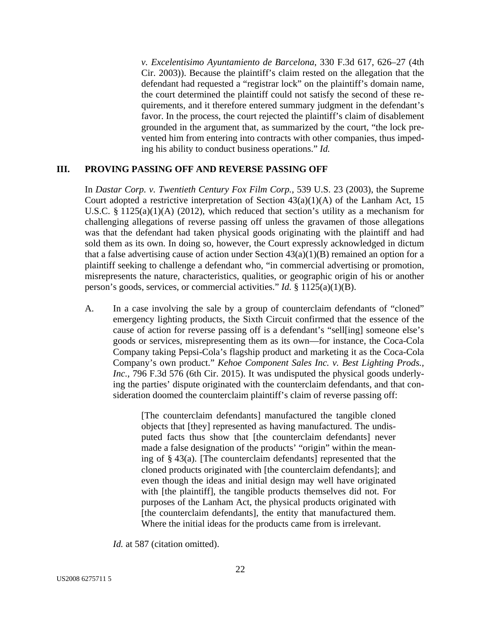*v. Excelentisimo Ayuntamiento de Barcelona*, 330 F.3d 617, 626–27 (4th Cir. 2003)). Because the plaintiff's claim rested on the allegation that the defendant had requested a "registrar lock" on the plaintiff's domain name, the court determined the plaintiff could not satisfy the second of these requirements, and it therefore entered summary judgment in the defendant's favor. In the process, the court rejected the plaintiff's claim of disablement grounded in the argument that, as summarized by the court, "the lock prevented him from entering into contracts with other companies, thus impeding his ability to conduct business operations." *Id.*

## **III. PROVING PASSING OFF AND REVERSE PASSING OFF**

In *Dastar Corp. v. Twentieth Century Fox Film Corp.*, 539 U.S. 23 (2003), the Supreme Court adopted a restrictive interpretation of Section  $43(a)(1)(A)$  of the Lanham Act, 15 U.S.C. § 1125(a)(1)(A) (2012), which reduced that section's utility as a mechanism for challenging allegations of reverse passing off unless the gravamen of those allegations was that the defendant had taken physical goods originating with the plaintiff and had sold them as its own. In doing so, however, the Court expressly acknowledged in dictum that a false advertising cause of action under Section  $43(a)(1)(B)$  remained an option for a plaintiff seeking to challenge a defendant who, "in commercial advertising or promotion, misrepresents the nature, characteristics, qualities, or geographic origin of his or another person's goods, services, or commercial activities." *Id.* § 1125(a)(1)(B).

A. In a case involving the sale by a group of counterclaim defendants of "cloned" emergency lighting products, the Sixth Circuit confirmed that the essence of the cause of action for reverse passing off is a defendant's "sell[ing] someone else's goods or services, misrepresenting them as its own—for instance, the Coca-Cola Company taking Pepsi-Cola's flagship product and marketing it as the Coca-Cola Company's own product." *Kehoe Component Sales Inc. v. Best Lighting Prods., Inc.*, 796 F.3d 576 (6th Cir. 2015). It was undisputed the physical goods underlying the parties' dispute originated with the counterclaim defendants, and that consideration doomed the counterclaim plaintiff's claim of reverse passing off:

> [The counterclaim defendants] manufactured the tangible cloned objects that [they] represented as having manufactured. The undisputed facts thus show that [the counterclaim defendants] never made a false designation of the products' "origin" within the meaning of  $\S 43(a)$ . [The counterclaim defendants] represented that the cloned products originated with [the counterclaim defendants]; and even though the ideas and initial design may well have originated with [the plaintiff], the tangible products themselves did not. For purposes of the Lanham Act, the physical products originated with [the counterclaim defendants], the entity that manufactured them. Where the initial ideas for the products came from is irrelevant.

*Id.* at 587 (citation omitted).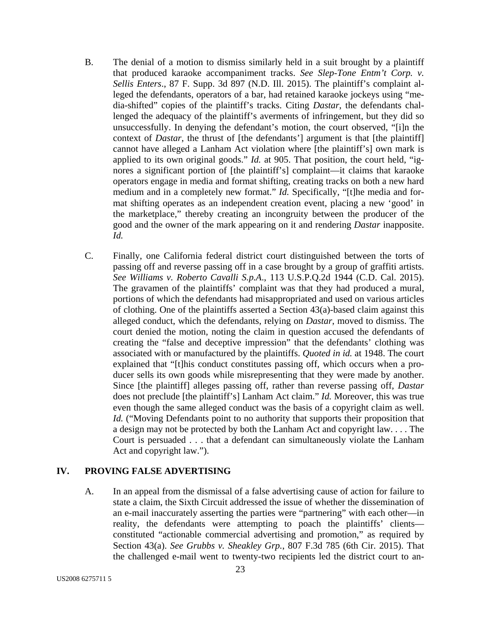- B. The denial of a motion to dismiss similarly held in a suit brought by a plaintiff that produced karaoke accompaniment tracks. *See Slep-Tone Entm't Corp. v. Sellis Enters*., 87 F. Supp. 3d 897 (N.D. Ill. 2015). The plaintiff's complaint alleged the defendants, operators of a bar, had retained karaoke jockeys using "media-shifted" copies of the plaintiff's tracks. Citing *Dastar*, the defendants challenged the adequacy of the plaintiff's averments of infringement, but they did so unsuccessfully. In denying the defendant's motion, the court observed, "[i]n the context of *Dastar*, the thrust of [the defendants'] argument is that [the plaintiff] cannot have alleged a Lanham Act violation where [the plaintiff's] own mark is applied to its own original goods." *Id.* at 905. That position, the court held, "ignores a significant portion of [the plaintiff's] complaint—it claims that karaoke operators engage in media and format shifting, creating tracks on both a new hard medium and in a completely new format." *Id.* Specifically, "[t]he media and format shifting operates as an independent creation event, placing a new 'good' in the marketplace," thereby creating an incongruity between the producer of the good and the owner of the mark appearing on it and rendering *Dastar* inapposite. *Id.*
- C. Finally, one California federal district court distinguished between the torts of passing off and reverse passing off in a case brought by a group of graffiti artists. *See Williams v. Roberto Cavalli S.p.A*., 113 U.S.P.Q.2d 1944 (C.D. Cal. 2015). The gravamen of the plaintiffs' complaint was that they had produced a mural, portions of which the defendants had misappropriated and used on various articles of clothing. One of the plaintiffs asserted a Section 43(a)-based claim against this alleged conduct, which the defendants, relying on *Dastar*, moved to dismiss. The court denied the motion, noting the claim in question accused the defendants of creating the "false and deceptive impression" that the defendants' clothing was associated with or manufactured by the plaintiffs. *Quoted in id.* at 1948. The court explained that "[t]his conduct constitutes passing off, which occurs when a producer sells its own goods while misrepresenting that they were made by another. Since [the plaintiff] alleges passing off, rather than reverse passing off, *Dastar* does not preclude [the plaintiff's] Lanham Act claim." *Id.* Moreover, this was true even though the same alleged conduct was the basis of a copyright claim as well. *Id.* ("Moving Defendants point to no authority that supports their proposition that a design may not be protected by both the Lanham Act and copyright law. . . . The Court is persuaded . . . that a defendant can simultaneously violate the Lanham Act and copyright law.").

## **IV. PROVING FALSE ADVERTISING**

A. In an appeal from the dismissal of a false advertising cause of action for failure to state a claim, the Sixth Circuit addressed the issue of whether the dissemination of an e-mail inaccurately asserting the parties were "partnering" with each other—in reality, the defendants were attempting to poach the plaintiffs' clients constituted "actionable commercial advertising and promotion," as required by Section 43(a). *See Grubbs v. Sheakley Grp.*, 807 F.3d 785 (6th Cir. 2015). That the challenged e-mail went to twenty-two recipients led the district court to an-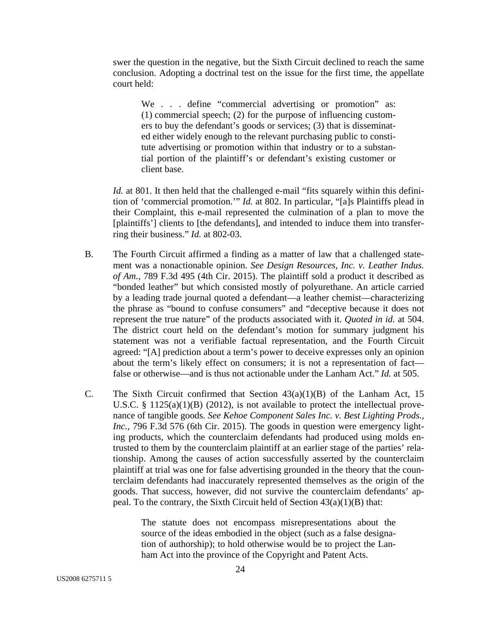swer the question in the negative, but the Sixth Circuit declined to reach the same conclusion. Adopting a doctrinal test on the issue for the first time, the appellate court held:

We . . . define "commercial advertising or promotion" as: (1) commercial speech; (2) for the purpose of influencing customers to buy the defendant's goods or services; (3) that is disseminated either widely enough to the relevant purchasing public to constitute advertising or promotion within that industry or to a substantial portion of the plaintiff's or defendant's existing customer or client base.

*Id.* at 801. It then held that the challenged e-mail "fits squarely within this definition of 'commercial promotion.'" *Id.* at 802. In particular, "[a]s Plaintiffs plead in their Complaint, this e-mail represented the culmination of a plan to move the [plaintiffs'] clients to [the defendants], and intended to induce them into transferring their business." *Id.* at 802-03.

- B. The Fourth Circuit affirmed a finding as a matter of law that a challenged statement was a nonactionable opinion. *See Design Resources, Inc. v. Leather Indus. of Am.*, 789 F.3d 495 (4th Cir. 2015). The plaintiff sold a product it described as "bonded leather" but which consisted mostly of polyurethane. An article carried by a leading trade journal quoted a defendant—a leather chemist—characterizing the phrase as "bound to confuse consumers" and "deceptive because it does not represent the true nature" of the products associated with it. *Quoted in id.* at 504. The district court held on the defendant's motion for summary judgment his statement was not a verifiable factual representation, and the Fourth Circuit agreed: "[A] prediction about a term's power to deceive expresses only an opinion about the term's likely effect on consumers; it is not a representation of fact false or otherwise—and is thus not actionable under the Lanham Act." *Id.* at 505.
- C. The Sixth Circuit confirmed that Section  $43(a)(1)(B)$  of the Lanham Act, 15 U.S.C. § 1125(a)(1)(B) (2012), is not available to protect the intellectual provenance of tangible goods. *See Kehoe Component Sales Inc. v. Best Lighting Prods., Inc.*, 796 F.3d 576 (6th Cir. 2015). The goods in question were emergency lighting products, which the counterclaim defendants had produced using molds entrusted to them by the counterclaim plaintiff at an earlier stage of the parties' relationship. Among the causes of action successfully asserted by the counterclaim plaintiff at trial was one for false advertising grounded in the theory that the counterclaim defendants had inaccurately represented themselves as the origin of the goods. That success, however, did not survive the counterclaim defendants' appeal. To the contrary, the Sixth Circuit held of Section  $43(a)(1)(B)$  that:

The statute does not encompass misrepresentations about the source of the ideas embodied in the object (such as a false designation of authorship); to hold otherwise would be to project the Lanham Act into the province of the Copyright and Patent Acts.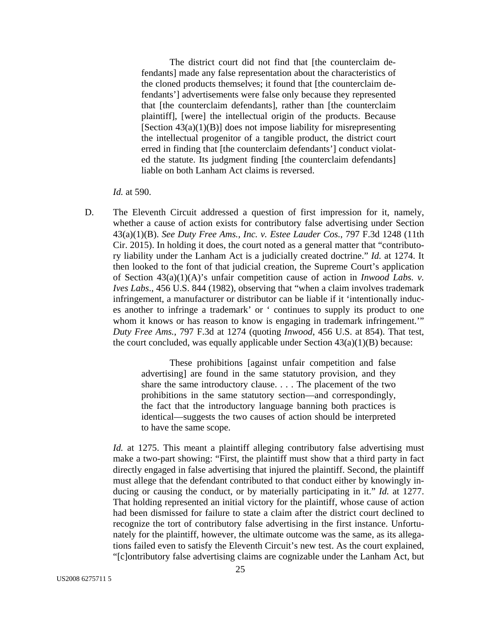The district court did not find that [the counterclaim defendants] made any false representation about the characteristics of the cloned products themselves; it found that [the counterclaim defendants'] advertisements were false only because they represented that [the counterclaim defendants], rather than [the counterclaim plaintiff], [were] the intellectual origin of the products. Because [Section  $43(a)(1)(B)$ ] does not impose liability for misrepresenting the intellectual progenitor of a tangible product, the district court erred in finding that [the counterclaim defendants'] conduct violated the statute. Its judgment finding [the counterclaim defendants] liable on both Lanham Act claims is reversed.

#### *Id.* at 590.

D. The Eleventh Circuit addressed a question of first impression for it, namely, whether a cause of action exists for contributory false advertising under Section 43(a)(1)(B). *See Duty Free Ams., Inc. v. Estee Lauder Cos.*, 797 F.3d 1248 (11th Cir. 2015). In holding it does, the court noted as a general matter that "contributory liability under the Lanham Act is a judicially created doctrine." *Id.* at 1274. It then looked to the font of that judicial creation, the Supreme Court's application of Section 43(a)(1)(A)'s unfair competition cause of action in *Inwood Labs. v. Ives Labs*., 456 U.S. 844 (1982), observing that "when a claim involves trademark infringement, a manufacturer or distributor can be liable if it 'intentionally induces another to infringe a trademark' or ' continues to supply its product to one whom it knows or has reason to know is engaging in trademark infringement." *Duty Free Ams.*, 797 F.3d at 1274 (quoting *Inwood*, 456 U.S. at 854). That test, the court concluded, was equally applicable under Section  $43(a)(1)(B)$  because:

> These prohibitions [against unfair competition and false advertising] are found in the same statutory provision, and they share the same introductory clause. . . . The placement of the two prohibitions in the same statutory section—and correspondingly, the fact that the introductory language banning both practices is identical—suggests the two causes of action should be interpreted to have the same scope.

*Id.* at 1275. This meant a plaintiff alleging contributory false advertising must make a two-part showing: "First, the plaintiff must show that a third party in fact directly engaged in false advertising that injured the plaintiff. Second, the plaintiff must allege that the defendant contributed to that conduct either by knowingly inducing or causing the conduct, or by materially participating in it." *Id.* at 1277. That holding represented an initial victory for the plaintiff, whose cause of action had been dismissed for failure to state a claim after the district court declined to recognize the tort of contributory false advertising in the first instance. Unfortunately for the plaintiff, however, the ultimate outcome was the same, as its allegations failed even to satisfy the Eleventh Circuit's new test. As the court explained, "[c]ontributory false advertising claims are cognizable under the Lanham Act, but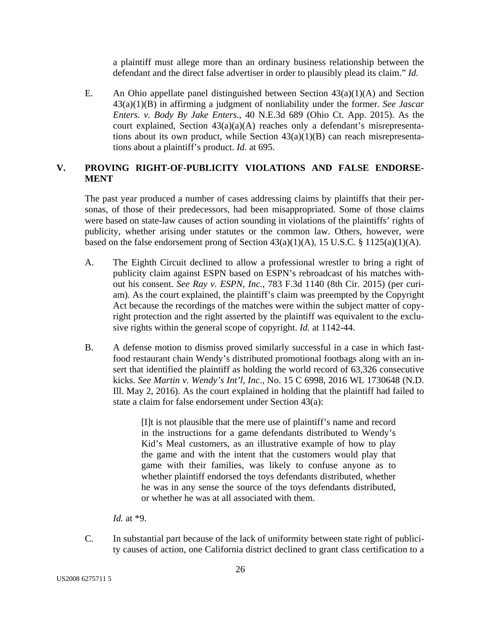a plaintiff must allege more than an ordinary business relationship between the defendant and the direct false advertiser in order to plausibly plead its claim." *Id.* 

E. An Ohio appellate panel distinguished between Section 43(a)(1)(A) and Section 43(a)(1)(B) in affirming a judgment of nonliability under the former. *See Jascar Enters. v. Body By Jake Enters.*, 40 N.E.3d 689 (Ohio Ct. App. 2015). As the court explained, Section  $43(a)(a)(A)$  reaches only a defendant's misrepresentations about its own product, while Section  $43(a)(1)(B)$  can reach misrepresentations about a plaintiff's product. *Id.* at 695.

## **V. PROVING RIGHT-OF-PUBLICITY VIOLATIONS AND FALSE ENDORSE-MENT**

The past year produced a number of cases addressing claims by plaintiffs that their personas, of those of their predecessors, had been misappropriated. Some of those claims were based on state-law causes of action sounding in violations of the plaintiffs' rights of publicity, whether arising under statutes or the common law. Others, however, were based on the false endorsement prong of Section  $43(a)(1)(A)$ , 15 U.S.C. § 1125(a)(1)(A).

- A. The Eighth Circuit declined to allow a professional wrestler to bring a right of publicity claim against ESPN based on ESPN's rebroadcast of his matches without his consent. *See Ray v. ESPN, Inc.*, 783 F.3d 1140 (8th Cir. 2015) (per curiam). As the court explained, the plaintiff's claim was preempted by the Copyright Act because the recordings of the matches were within the subject matter of copyright protection and the right asserted by the plaintiff was equivalent to the exclusive rights within the general scope of copyright. *Id.* at 1142-44.
- B. A defense motion to dismiss proved similarly successful in a case in which fastfood restaurant chain Wendy's distributed promotional footbags along with an insert that identified the plaintiff as holding the world record of 63,326 consecutive kicks. *See Martin v. Wendy's Int'l, Inc*., No. 15 C 6998, 2016 WL 1730648 (N.D. Ill. May 2, 2016). As the court explained in holding that the plaintiff had failed to state a claim for false endorsement under Section 43(a):

[I]t is not plausible that the mere use of plaintiff's name and record in the instructions for a game defendants distributed to Wendy's Kid's Meal customers, as an illustrative example of how to play the game and with the intent that the customers would play that game with their families, was likely to confuse anyone as to whether plaintiff endorsed the toys defendants distributed, whether he was in any sense the source of the toys defendants distributed, or whether he was at all associated with them.

*Id.* at \*9.

C. In substantial part because of the lack of uniformity between state right of publicity causes of action, one California district declined to grant class certification to a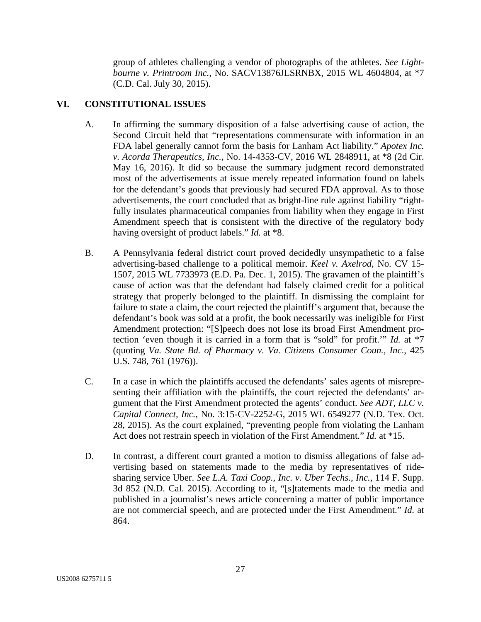group of athletes challenging a vendor of photographs of the athletes. *See Lightbourne v. Printroom Inc.*, No. SACV13876JLSRNBX, 2015 WL 4604804, at \*7 (C.D. Cal. July 30, 2015).

## **VI. CONSTITUTIONAL ISSUES**

- A. In affirming the summary disposition of a false advertising cause of action, the Second Circuit held that "representations commensurate with information in an FDA label generally cannot form the basis for Lanham Act liability." *Apotex Inc. v. Acorda Therapeutics, Inc.*, No. 14-4353-CV, 2016 WL 2848911, at \*8 (2d Cir. May 16, 2016). It did so because the summary judgment record demonstrated most of the advertisements at issue merely repeated information found on labels for the defendant's goods that previously had secured FDA approval. As to those advertisements, the court concluded that as bright-line rule against liability "rightfully insulates pharmaceutical companies from liability when they engage in First Amendment speech that is consistent with the directive of the regulatory body having oversight of product labels." *Id.* at \*8.
- B. A Pennsylvania federal district court proved decidedly unsympathetic to a false advertising-based challenge to a political memoir. *Keel v. Axelrod*, No. CV 15- 1507, 2015 WL 7733973 (E.D. Pa. Dec. 1, 2015). The gravamen of the plaintiff's cause of action was that the defendant had falsely claimed credit for a political strategy that properly belonged to the plaintiff. In dismissing the complaint for failure to state a claim, the court rejected the plaintiff's argument that, because the defendant's book was sold at a profit, the book necessarily was ineligible for First Amendment protection: "[S]peech does not lose its broad First Amendment protection 'even though it is carried in a form that is "sold" for profit.'" *Id.* at \*7 (quoting *Va. State Bd. of Pharmacy v. Va. Citizens Consumer Coun., Inc*., 425 U.S. 748, 761 (1976)).
- C. In a case in which the plaintiffs accused the defendants' sales agents of misrepresenting their affiliation with the plaintiffs, the court rejected the defendants' argument that the First Amendment protected the agents' conduct. *See ADT, LLC v. Capital Connect, Inc.*, No. 3:15-CV-2252-G, 2015 WL 6549277 (N.D. Tex. Oct. 28, 2015). As the court explained, "preventing people from violating the Lanham Act does not restrain speech in violation of the First Amendment." *Id.* at \*15.
- D. In contrast, a different court granted a motion to dismiss allegations of false advertising based on statements made to the media by representatives of ridesharing service Uber. *See L.A. Taxi Coop., Inc. v. Uber Techs., Inc.*, 114 F. Supp. 3d 852 (N.D. Cal. 2015). According to it, "[s]tatements made to the media and published in a journalist's news article concerning a matter of public importance are not commercial speech, and are protected under the First Amendment." *Id.* at 864.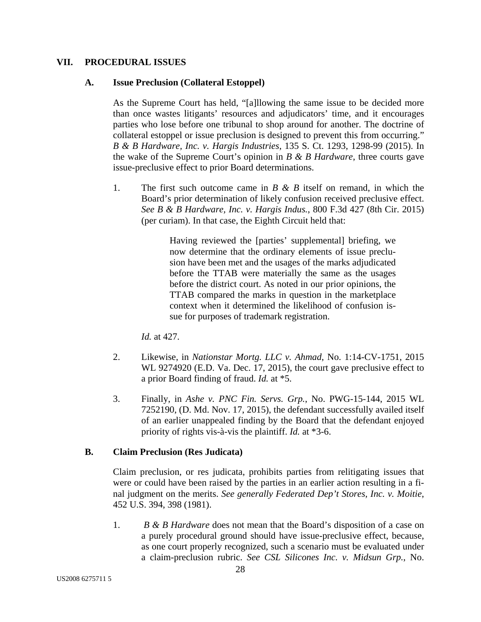### **VII. PROCEDURAL ISSUES**

#### **A. Issue Preclusion (Collateral Estoppel)**

As the Supreme Court has held, "[a]llowing the same issue to be decided more than once wastes litigants' resources and adjudicators' time, and it encourages parties who lose before one tribunal to shop around for another. The doctrine of collateral estoppel or issue preclusion is designed to prevent this from occurring." *B & B Hardware, Inc. v. Hargis Industries*, 135 S. Ct. 1293, 1298-99 (2015). In the wake of the Supreme Court's opinion in *B & B Hardware*, three courts gave issue-preclusive effect to prior Board determinations.

1. The first such outcome came in *B & B* itself on remand, in which the Board's prior determination of likely confusion received preclusive effect. *See B & B Hardware, Inc. v. Hargis Indus.*, 800 F.3d 427 (8th Cir. 2015) (per curiam). In that case, the Eighth Circuit held that:

> Having reviewed the [parties' supplemental] briefing, we now determine that the ordinary elements of issue preclusion have been met and the usages of the marks adjudicated before the TTAB were materially the same as the usages before the district court. As noted in our prior opinions, the TTAB compared the marks in question in the marketplace context when it determined the likelihood of confusion issue for purposes of trademark registration.

*Id.* at 427.

- 2. Likewise, in *Nationstar Mortg. LLC v. Ahmad*, No. 1:14-CV-1751, 2015 WL 9274920 (E.D. Va. Dec. 17, 2015), the court gave preclusive effect to a prior Board finding of fraud. *Id.* at \*5.
- 3. Finally, in *Ashe v. PNC Fin. Servs. Grp.*, No. PWG-15-144, 2015 WL 7252190, (D. Md. Nov. 17, 2015), the defendant successfully availed itself of an earlier unappealed finding by the Board that the defendant enjoyed priority of rights vis-à-vis the plaintiff. *Id.* at \*3-6.

## **B. Claim Preclusion (Res Judicata)**

Claim preclusion, or res judicata, prohibits parties from relitigating issues that were or could have been raised by the parties in an earlier action resulting in a final judgment on the merits. *See generally Federated Dep't Stores, Inc. v. Moitie*, 452 U.S. 394, 398 (1981).

1. *B & B Hardware* does not mean that the Board's disposition of a case on a purely procedural ground should have issue-preclusive effect, because, as one court properly recognized, such a scenario must be evaluated under a claim-preclusion rubric. *See CSL Silicones Inc. v. Midsun Grp.*, No.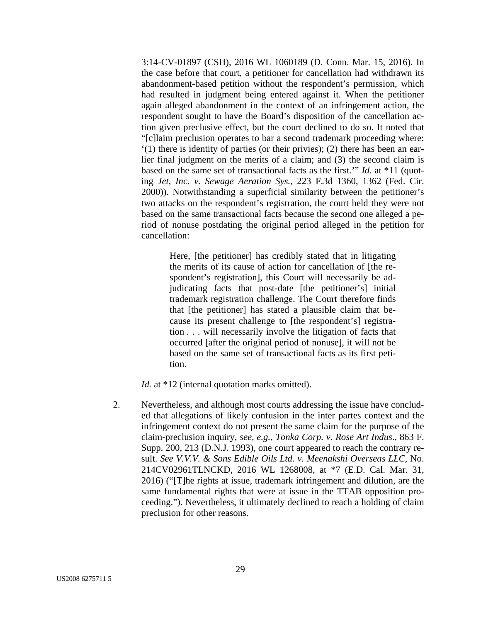3:14-CV-01897 (CSH), 2016 WL 1060189 (D. Conn. Mar. 15, 2016). In the case before that court, a petitioner for cancellation had withdrawn its abandonment-based petition without the respondent's permission, which had resulted in judgment being entered against it. When the petitioner again alleged abandonment in the context of an infringement action, the respondent sought to have the Board's disposition of the cancellation action given preclusive effect, but the court declined to do so. It noted that "[c]laim preclusion operates to bar a second trademark proceeding where: '(1) there is identity of parties (or their privies); (2) there has been an earlier final judgment on the merits of a claim; and (3) the second claim is based on the same set of transactional facts as the first.'" *Id.* at \*11 (quoting *Jet, Inc. v. Sewage Aeration Sys.*, 223 F.3d 1360, 1362 (Fed. Cir. 2000)). Notwithstanding a superficial similarity between the petitioner's two attacks on the respondent's registration, the court held they were not based on the same transactional facts because the second one alleged a period of nonuse postdating the original period alleged in the petition for cancellation:

> Here, [the petitioner] has credibly stated that in litigating the merits of its cause of action for cancellation of [the respondent's registration], this Court will necessarily be adjudicating facts that post-date [the petitioner's] initial trademark registration challenge. The Court therefore finds that [the petitioner] has stated a plausible claim that because its present challenge to [the respondent's] registration . . . will necessarily involve the litigation of facts that occurred [after the original period of nonuse], it will not be based on the same set of transactional facts as its first petition.

*Id.* at \*12 (internal quotation marks omitted).

2. Nevertheless, and although most courts addressing the issue have concluded that allegations of likely confusion in the inter partes context and the infringement context do not present the same claim for the purpose of the claim-preclusion inquiry, *see, e.g.*, *Tonka Corp. v. Rose Art Indus*., 863 F. Supp. 200, 213 (D.N.J. 1993), one court appeared to reach the contrary result. *See V.V.V. & Sons Edible Oils Ltd. v. Meenakshi Overseas LLC*, No. 214CV02961TLNCKD, 2016 WL 1268008, at \*7 (E.D. Cal. Mar. 31, 2016) ("[T]he rights at issue, trademark infringement and dilution, are the same fundamental rights that were at issue in the TTAB opposition proceeding."). Nevertheless, it ultimately declined to reach a holding of claim preclusion for other reasons.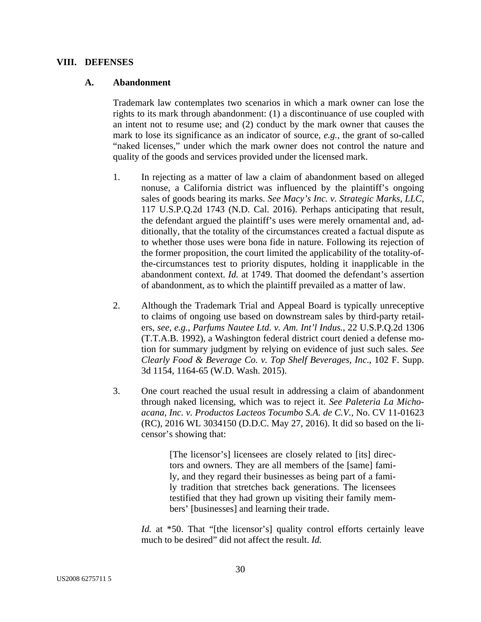#### **VIII. DEFENSES**

#### **A. Abandonment**

Trademark law contemplates two scenarios in which a mark owner can lose the rights to its mark through abandonment: (1) a discontinuance of use coupled with an intent not to resume use; and (2) conduct by the mark owner that causes the mark to lose its significance as an indicator of source, *e.g.*, the grant of so-called "naked licenses," under which the mark owner does not control the nature and quality of the goods and services provided under the licensed mark.

- 1. In rejecting as a matter of law a claim of abandonment based on alleged nonuse, a California district was influenced by the plaintiff's ongoing sales of goods bearing its marks. *See Macy's Inc. v. Strategic Marks, LLC*, 117 U.S.P.Q.2d 1743 (N.D. Cal. 2016). Perhaps anticipating that result, the defendant argued the plaintiff's uses were merely ornamental and, additionally, that the totality of the circumstances created a factual dispute as to whether those uses were bona fide in nature. Following its rejection of the former proposition, the court limited the applicability of the totality-ofthe-circumstances test to priority disputes, holding it inapplicable in the abandonment context. *Id.* at 1749. That doomed the defendant's assertion of abandonment, as to which the plaintiff prevailed as a matter of law.
- 2. Although the Trademark Trial and Appeal Board is typically unreceptive to claims of ongoing use based on downstream sales by third-party retailers, *see, e.g.*, *Parfums Nautee Ltd. v. Am. Int'l Indus.*, 22 U.S.P.Q.2d 1306 (T.T.A.B. 1992), a Washington federal district court denied a defense motion for summary judgment by relying on evidence of just such sales. *See Clearly Food & Beverage Co. v. Top Shelf Beverages, Inc*., 102 F. Supp. 3d 1154, 1164-65 (W.D. Wash. 2015).
- 3. One court reached the usual result in addressing a claim of abandonment through naked licensing, which was to reject it. *See Paleteria La Michoacana, Inc. v. Productos Lacteos Tocumbo S.A. de C.V.*, No. CV 11-01623 (RC), 2016 WL 3034150 (D.D.C. May 27, 2016). It did so based on the licensor's showing that:

[The licensor's] licensees are closely related to [its] directors and owners. They are all members of the [same] family, and they regard their businesses as being part of a family tradition that stretches back generations. The licensees testified that they had grown up visiting their family members' [businesses] and learning their trade.

*Id.* at \*50. That "[the licensor's] quality control efforts certainly leave much to be desired" did not affect the result. *Id.*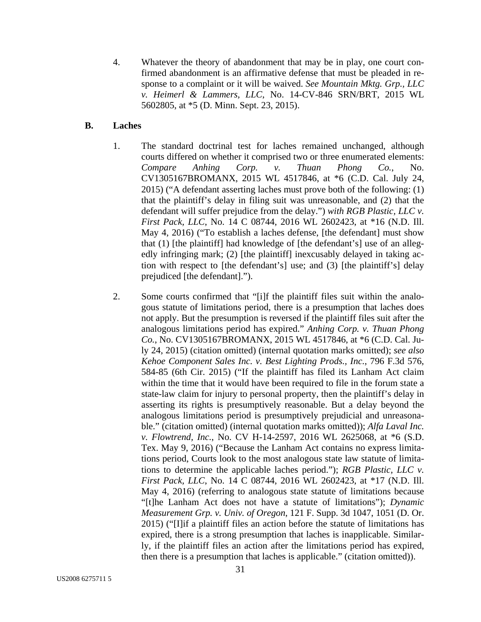4. Whatever the theory of abandonment that may be in play, one court confirmed abandonment is an affirmative defense that must be pleaded in response to a complaint or it will be waived. *See Mountain Mktg. Grp., LLC v. Heimerl & Lammers, LLC*, No. 14-CV-846 SRN/BRT, 2015 WL 5602805, at \*5 (D. Minn. Sept. 23, 2015).

## **B. Laches**

- 1. The standard doctrinal test for laches remained unchanged, although courts differed on whether it comprised two or three enumerated elements: *Compare Anhing Corp. v. Thuan Phong Co.*, No. CV1305167BROMANX, 2015 WL 4517846, at \*6 (C.D. Cal. July 24, 2015) ("A defendant asserting laches must prove both of the following: (1) that the plaintiff's delay in filing suit was unreasonable, and (2) that the defendant will suffer prejudice from the delay.") *with RGB Plastic, LLC v. First Pack, LLC*, No. 14 C 08744, 2016 WL 2602423, at \*16 (N.D. Ill. May 4, 2016) ("To establish a laches defense, [the defendant] must show that (1) [the plaintiff] had knowledge of [the defendant's] use of an allegedly infringing mark; (2) [the plaintiff] inexcusably delayed in taking action with respect to [the defendant's] use; and (3) [the plaintiff's] delay prejudiced [the defendant].").
- 2. Some courts confirmed that "[i]f the plaintiff files suit within the analogous statute of limitations period, there is a presumption that laches does not apply. But the presumption is reversed if the plaintiff files suit after the analogous limitations period has expired." *Anhing Corp. v. Thuan Phong Co.*, No. CV1305167BROMANX, 2015 WL 4517846, at \*6 (C.D. Cal. July 24, 2015) (citation omitted) (internal quotation marks omitted); *see also Kehoe Component Sales Inc. v. Best Lighting Prods., Inc.*, 796 F.3d 576, 584-85 (6th Cir. 2015) ("If the plaintiff has filed its Lanham Act claim within the time that it would have been required to file in the forum state a state-law claim for injury to personal property, then the plaintiff's delay in asserting its rights is presumptively reasonable. But a delay beyond the analogous limitations period is presumptively prejudicial and unreasonable." (citation omitted) (internal quotation marks omitted)); *Alfa Laval Inc. v. Flowtrend, Inc.*, No. CV H-14-2597, 2016 WL 2625068, at \*6 (S.D. Tex. May 9, 2016) ("Because the Lanham Act contains no express limitations period, Courts look to the most analogous state law statute of limitations to determine the applicable laches period."); *RGB Plastic, LLC v. First Pack, LLC*, No. 14 C 08744, 2016 WL 2602423, at \*17 (N.D. Ill. May 4, 2016) (referring to analogous state statute of limitations because "[t]he Lanham Act does not have a statute of limitations"); *Dynamic Measurement Grp. v. Univ. of Oregon*, 121 F. Supp. 3d 1047, 1051 (D. Or. 2015) ("[I]if a plaintiff files an action before the statute of limitations has expired, there is a strong presumption that laches is inapplicable. Similarly, if the plaintiff files an action after the limitations period has expired, then there is a presumption that laches is applicable." (citation omitted)).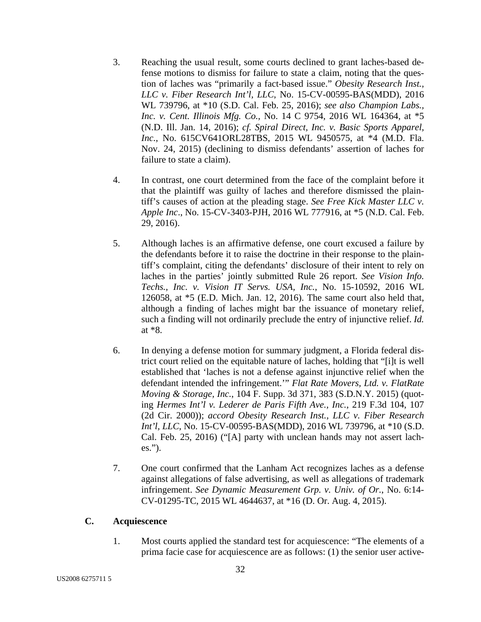- 3. Reaching the usual result, some courts declined to grant laches-based defense motions to dismiss for failure to state a claim, noting that the question of laches was "primarily a fact-based issue." *Obesity Research Inst., LLC v. Fiber Research Int'l, LLC*, No. 15-CV-00595-BAS(MDD), 2016 WL 739796, at \*10 (S.D. Cal. Feb. 25, 2016); *see also Champion Labs., Inc. v. Cent. Illinois Mfg. Co.*, No. 14 C 9754, 2016 WL 164364, at \*5 (N.D. Ill. Jan. 14, 2016); *cf. Spiral Direct, Inc. v. Basic Sports Apparel, Inc.*, No. 615CV641ORL28TBS, 2015 WL 9450575, at \*4 (M.D. Fla. Nov. 24, 2015) (declining to dismiss defendants' assertion of laches for failure to state a claim).
- 4. In contrast, one court determined from the face of the complaint before it that the plaintiff was guilty of laches and therefore dismissed the plaintiff's causes of action at the pleading stage. *See Free Kick Master LLC v. Apple Inc*., No. 15-CV-3403-PJH, 2016 WL 777916, at \*5 (N.D. Cal. Feb. 29, 2016).
- 5. Although laches is an affirmative defense, one court excused a failure by the defendants before it to raise the doctrine in their response to the plaintiff's complaint, citing the defendants' disclosure of their intent to rely on laches in the parties' jointly submitted Rule 26 report. *See Vision Info. Techs., Inc. v. Vision IT Servs. USA, Inc.*, No. 15-10592, 2016 WL 126058, at \*5 (E.D. Mich. Jan. 12, 2016). The same court also held that, although a finding of laches might bar the issuance of monetary relief, such a finding will not ordinarily preclude the entry of injunctive relief. *Id.* at \*8.
- 6. In denying a defense motion for summary judgment, a Florida federal district court relied on the equitable nature of laches, holding that "[i]t is well established that 'laches is not a defense against injunctive relief when the defendant intended the infringement.'" *Flat Rate Movers, Ltd. v. FlatRate Moving & Storage, Inc.*, 104 F. Supp. 3d 371, 383 (S.D.N.Y. 2015) (quoting *Hermes Int'l v. Lederer de Paris Fifth Ave., Inc.,* 219 F.3d 104, 107 (2d Cir. 2000)); *accord Obesity Research Inst., LLC v. Fiber Research Int'l, LLC*, No. 15-CV-00595-BAS(MDD), 2016 WL 739796, at \*10 (S.D. Cal. Feb. 25, 2016) ("[A] party with unclean hands may not assert laches.").
- 7. One court confirmed that the Lanham Act recognizes laches as a defense against allegations of false advertising, as well as allegations of trademark infringement. *See Dynamic Measurement Grp. v. Univ. of Or.*, No. 6:14- CV-01295-TC, 2015 WL 4644637, at \*16 (D. Or. Aug. 4, 2015).

## **C. Acquiescence**

1. Most courts applied the standard test for acquiescence: "The elements of a prima facie case for acquiescence are as follows: (1) the senior user active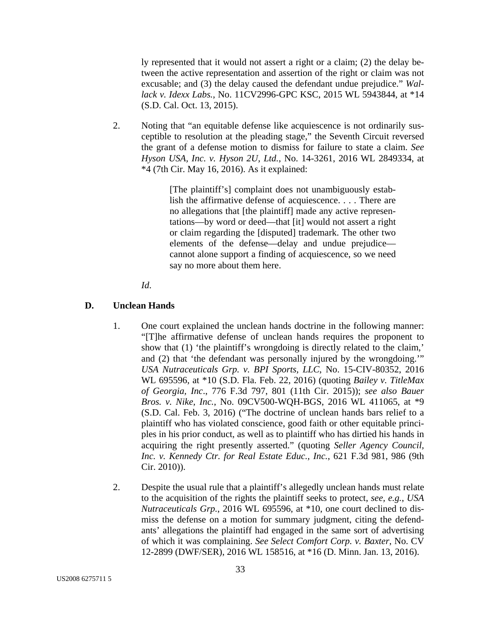ly represented that it would not assert a right or a claim; (2) the delay between the active representation and assertion of the right or claim was not excusable; and (3) the delay caused the defendant undue prejudice." *Wallack v. Idexx Labs.*, No. 11CV2996-GPC KSC, 2015 WL 5943844, at \*14 (S.D. Cal. Oct. 13, 2015).

2. Noting that "an equitable defense like acquiescence is not ordinarily susceptible to resolution at the pleading stage," the Seventh Circuit reversed the grant of a defense motion to dismiss for failure to state a claim. *See Hyson USA, Inc. v. Hyson 2U, Ltd.*, No. 14-3261, 2016 WL 2849334, at \*4 (7th Cir. May 16, 2016). As it explained:

> [The plaintiff's] complaint does not unambiguously establish the affirmative defense of acquiescence. . . . There are no allegations that [the plaintiff] made any active representations—by word or deed—that [it] would not assert a right or claim regarding the [disputed] trademark. The other two elements of the defense—delay and undue prejudice cannot alone support a finding of acquiescence, so we need say no more about them here.

*Id*.

#### **D. Unclean Hands**

- 1. One court explained the unclean hands doctrine in the following manner: "[T]he affirmative defense of unclean hands requires the proponent to show that (1) 'the plaintiff's wrongdoing is directly related to the claim,' and (2) that 'the defendant was personally injured by the wrongdoing.'" *USA Nutraceuticals Grp. v. BPI Sports, LLC*, No. 15-CIV-80352, 2016 WL 695596, at \*10 (S.D. Fla. Feb. 22, 2016) (quoting *Bailey v. TitleMax of Georgia, Inc*., 776 F.3d 797, 801 (11th Cir. 2015)); *see also Bauer Bros. v. Nike, Inc.*, No. 09CV500-WQH-BGS, 2016 WL 411065, at \*9 (S.D. Cal. Feb. 3, 2016) ("The doctrine of unclean hands bars relief to a plaintiff who has violated conscience, good faith or other equitable principles in his prior conduct, as well as to plaintiff who has dirtied his hands in acquiring the right presently asserted." (quoting *Seller Agency Council, Inc. v. Kennedy Ctr. for Real Estate Educ., Inc.*, 621 F.3d 981, 986 (9th Cir. 2010)).
- 2. Despite the usual rule that a plaintiff's allegedly unclean hands must relate to the acquisition of the rights the plaintiff seeks to protect, *see, e.g.*, *USA Nutraceuticals Grp.*, 2016 WL 695596, at \*10, one court declined to dismiss the defense on a motion for summary judgment, citing the defendants' allegations the plaintiff had engaged in the same sort of advertising of which it was complaining. *See Select Comfort Corp. v. Baxter*, No. CV 12-2899 (DWF/SER), 2016 WL 158516, at \*16 (D. Minn. Jan. 13, 2016).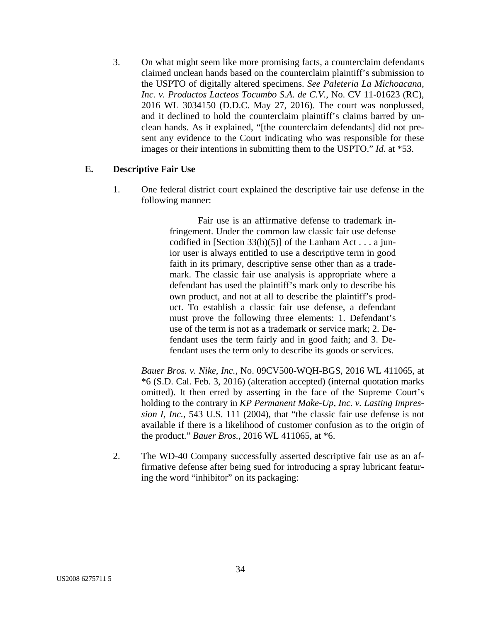3. On what might seem like more promising facts, a counterclaim defendants claimed unclean hands based on the counterclaim plaintiff's submission to the USPTO of digitally altered specimens. *See Paleteria La Michoacana, Inc. v. Productos Lacteos Tocumbo S.A. de C.V.*, No. CV 11-01623 (RC), 2016 WL 3034150 (D.D.C. May 27, 2016). The court was nonplussed, and it declined to hold the counterclaim plaintiff's claims barred by unclean hands. As it explained, "[the counterclaim defendants] did not present any evidence to the Court indicating who was responsible for these images or their intentions in submitting them to the USPTO." *Id.* at \*53.

#### **E. Descriptive Fair Use**

1. One federal district court explained the descriptive fair use defense in the following manner:

> Fair use is an affirmative defense to trademark infringement. Under the common law classic fair use defense codified in [Section  $33(b)(5)$ ] of the Lanham Act . . . a junior user is always entitled to use a descriptive term in good faith in its primary, descriptive sense other than as a trademark. The classic fair use analysis is appropriate where a defendant has used the plaintiff's mark only to describe his own product, and not at all to describe the plaintiff's product. To establish a classic fair use defense, a defendant must prove the following three elements: 1. Defendant's use of the term is not as a trademark or service mark; 2. Defendant uses the term fairly and in good faith; and 3. Defendant uses the term only to describe its goods or services.

*Bauer Bros. v. Nike, Inc.*, No. 09CV500-WQH-BGS, 2016 WL 411065, at \*6 (S.D. Cal. Feb. 3, 2016) (alteration accepted) (internal quotation marks omitted). It then erred by asserting in the face of the Supreme Court's holding to the contrary in *KP Permanent Make-Up, Inc. v. Lasting Impression I, Inc.*, 543 U.S. 111 (2004), that "the classic fair use defense is not available if there is a likelihood of customer confusion as to the origin of the product." *Bauer Bros.*, 2016 WL 411065, at \*6.

2. The WD-40 Company successfully asserted descriptive fair use as an affirmative defense after being sued for introducing a spray lubricant featuring the word "inhibitor" on its packaging: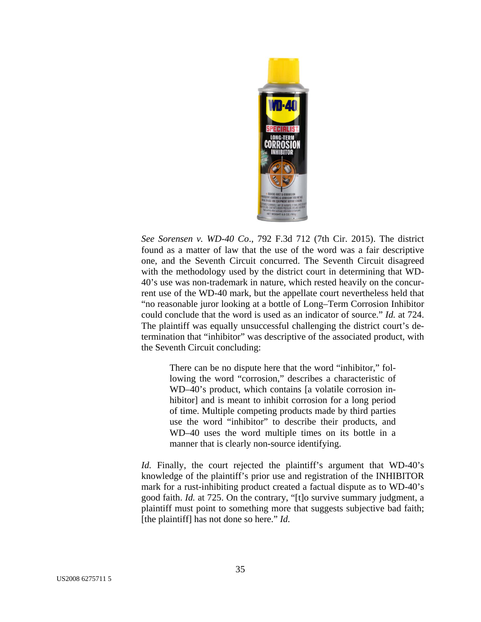

*See Sorensen v. WD-40 Co*., 792 F.3d 712 (7th Cir. 2015). The district found as a matter of law that the use of the word was a fair descriptive one, and the Seventh Circuit concurred. The Seventh Circuit disagreed with the methodology used by the district court in determining that WD-40's use was non-trademark in nature, which rested heavily on the concurrent use of the WD-40 mark, but the appellate court nevertheless held that "no reasonable juror looking at a bottle of Long–Term Corrosion Inhibitor could conclude that the word is used as an indicator of source." *Id.* at 724. The plaintiff was equally unsuccessful challenging the district court's determination that "inhibitor" was descriptive of the associated product, with the Seventh Circuit concluding:

There can be no dispute here that the word "inhibitor," following the word "corrosion," describes a characteristic of WD–40's product, which contains [a volatile corrosion inhibitor] and is meant to inhibit corrosion for a long period of time. Multiple competing products made by third parties use the word "inhibitor" to describe their products, and WD–40 uses the word multiple times on its bottle in a manner that is clearly non-source identifying.

*Id.* Finally, the court rejected the plaintiff's argument that WD-40's knowledge of the plaintiff's prior use and registration of the INHIBITOR mark for a rust-inhibiting product created a factual dispute as to WD-40's good faith. *Id.* at 725. On the contrary, "[t]o survive summary judgment, a plaintiff must point to something more that suggests subjective bad faith; [the plaintiff] has not done so here." *Id.*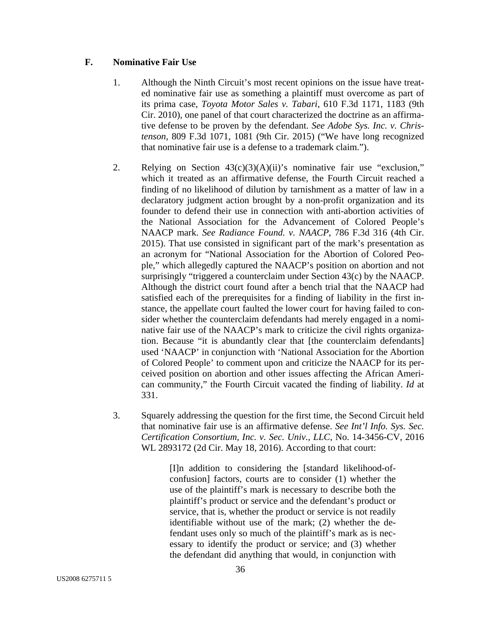## **F. Nominative Fair Use**

- 1. Although the Ninth Circuit's most recent opinions on the issue have treated nominative fair use as something a plaintiff must overcome as part of its prima case, *Toyota Motor Sales v. Tabari*, 610 F.3d 1171, 1183 (9th Cir. 2010), one panel of that court characterized the doctrine as an affirmative defense to be proven by the defendant. *See Adobe Sys. Inc. v. Christenson*, 809 F.3d 1071, 1081 (9th Cir. 2015) ("We have long recognized that nominative fair use is a defense to a trademark claim.").
- 2. Relying on Section  $43(c)(3)(A)(ii)$ 's nominative fair use "exclusion," which it treated as an affirmative defense, the Fourth Circuit reached a finding of no likelihood of dilution by tarnishment as a matter of law in a declaratory judgment action brought by a non-profit organization and its founder to defend their use in connection with anti-abortion activities of the National Association for the Advancement of Colored People's NAACP mark. *See Radiance Found. v. NAACP*, 786 F.3d 316 (4th Cir. 2015). That use consisted in significant part of the mark's presentation as an acronym for "National Association for the Abortion of Colored People," which allegedly captured the NAACP's position on abortion and not surprisingly "triggered a counterclaim under Section 43(c) by the NAACP. Although the district court found after a bench trial that the NAACP had satisfied each of the prerequisites for a finding of liability in the first instance, the appellate court faulted the lower court for having failed to consider whether the counterclaim defendants had merely engaged in a nominative fair use of the NAACP's mark to criticize the civil rights organization. Because "it is abundantly clear that [the counterclaim defendants] used 'NAACP' in conjunction with 'National Association for the Abortion of Colored People' to comment upon and criticize the NAACP for its perceived position on abortion and other issues affecting the African American community," the Fourth Circuit vacated the finding of liability. *Id* at 331.
- 3. Squarely addressing the question for the first time, the Second Circuit held that nominative fair use is an affirmative defense. *See Int'l Info. Sys. Sec. Certification Consortium, Inc. v. Sec. Univ., LLC*, No. 14-3456-CV, 2016 WL 2893172 (2d Cir. May 18, 2016). According to that court:

[I]n addition to considering the [standard likelihood-ofconfusion] factors, courts are to consider (1) whether the use of the plaintiff's mark is necessary to describe both the plaintiff's product or service and the defendant's product or service, that is, whether the product or service is not readily identifiable without use of the mark; (2) whether the defendant uses only so much of the plaintiff's mark as is necessary to identify the product or service; and (3) whether the defendant did anything that would, in conjunction with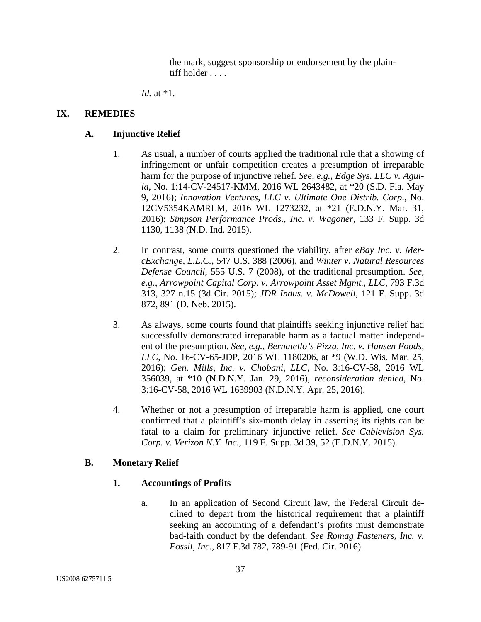the mark, suggest sponsorship or endorsement by the plaintiff holder . . . .

*Id.* at \*1.

## **IX. REMEDIES**

## **A. Injunctive Relief**

- 1. As usual, a number of courts applied the traditional rule that a showing of infringement or unfair competition creates a presumption of irreparable harm for the purpose of injunctive relief. *See, e.g.*, *Edge Sys. LLC v. Aguila*, No. 1:14-CV-24517-KMM, 2016 WL 2643482, at \*20 (S.D. Fla. May 9, 2016); *Innovation Ventures, LLC v. Ultimate One Distrib. Corp*., No. 12CV5354KAMRLM, 2016 WL 1273232, at \*21 (E.D.N.Y. Mar. 31, 2016); *Simpson Performance Prods., Inc. v. Wagoner*, 133 F. Supp. 3d 1130, 1138 (N.D. Ind. 2015).
- 2. In contrast, some courts questioned the viability, after *eBay Inc. v. MercExchange, L.L.C.*, 547 U.S. 388 (2006), and *Winter v. Natural Resources Defense Council*, 555 U.S. 7 (2008), of the traditional presumption. *See, e.g.*, *Arrowpoint Capital Corp. v. Arrowpoint Asset Mgmt., LLC*, 793 F.3d 313, 327 n.15 (3d Cir. 2015); *JDR Indus. v. McDowell*, 121 F. Supp. 3d 872, 891 (D. Neb. 2015).
- 3. As always, some courts found that plaintiffs seeking injunctive relief had successfully demonstrated irreparable harm as a factual matter independent of the presumption. *See, e.g.*, *Bernatello's Pizza, Inc. v. Hansen Foods, LLC*, No. 16-CV-65-JDP, 2016 WL 1180206, at \*9 (W.D. Wis. Mar. 25, 2016); *Gen. Mills, Inc. v. Chobani, LLC*, No. 3:16-CV-58, 2016 WL 356039, at \*10 (N.D.N.Y. Jan. 29, 2016), *reconsideration denied*, No. 3:16-CV-58, 2016 WL 1639903 (N.D.N.Y. Apr. 25, 2016).
- 4. Whether or not a presumption of irreparable harm is applied, one court confirmed that a plaintiff's six-month delay in asserting its rights can be fatal to a claim for preliminary injunctive relief. *See Cablevision Sys. Corp. v. Verizon N.Y. Inc.*, 119 F. Supp. 3d 39, 52 (E.D.N.Y. 2015).

## **B. Monetary Relief**

## **1. Accountings of Profits**

a. In an application of Second Circuit law, the Federal Circuit declined to depart from the historical requirement that a plaintiff seeking an accounting of a defendant's profits must demonstrate bad-faith conduct by the defendant. *See Romag Fasteners, Inc. v. Fossil, Inc.*, 817 F.3d 782, 789-91 (Fed. Cir. 2016).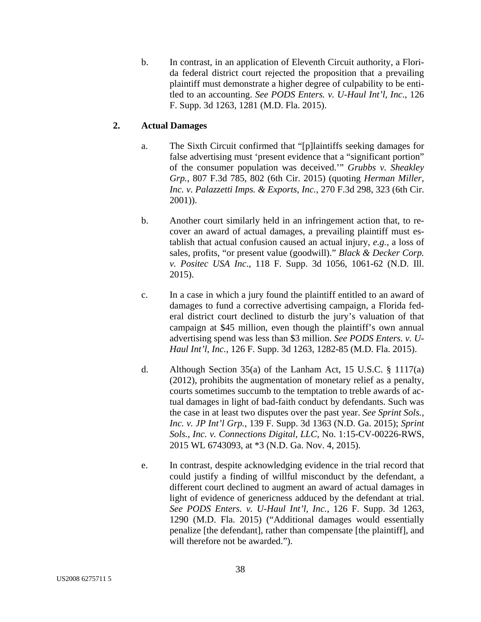b. In contrast, in an application of Eleventh Circuit authority, a Florida federal district court rejected the proposition that a prevailing plaintiff must demonstrate a higher degree of culpability to be entitled to an accounting. *See PODS Enters. v. U-Haul Int'l, Inc*., 126 F. Supp. 3d 1263, 1281 (M.D. Fla. 2015).

## **2. Actual Damages**

- a. The Sixth Circuit confirmed that "[p]laintiffs seeking damages for false advertising must 'present evidence that a "significant portion" of the consumer population was deceived.'" *Grubbs v. Sheakley Grp.*, 807 F.3d 785, 802 (6th Cir. 2015) (quoting *Herman Miller, Inc. v. Palazzetti Imps. & Exports, Inc.,* 270 F.3d 298, 323 (6th Cir. 2001)).
- b. Another court similarly held in an infringement action that, to recover an award of actual damages, a prevailing plaintiff must establish that actual confusion caused an actual injury, *e.g.*, a loss of sales, profits, "or present value (goodwill)." *Black & Decker Corp. v. Positec USA Inc*., 118 F. Supp. 3d 1056, 1061-62 (N.D. Ill. 2015).
- c. In a case in which a jury found the plaintiff entitled to an award of damages to fund a corrective advertising campaign, a Florida federal district court declined to disturb the jury's valuation of that campaign at \$45 million, even though the plaintiff's own annual advertising spend was less than \$3 million. *See PODS Enters. v. U-Haul Int'l, Inc.*, 126 F. Supp. 3d 1263, 1282-85 (M.D. Fla. 2015).
- d. Although Section 35(a) of the Lanham Act, 15 U.S.C. § 1117(a) (2012), prohibits the augmentation of monetary relief as a penalty, courts sometimes succumb to the temptation to treble awards of actual damages in light of bad-faith conduct by defendants. Such was the case in at least two disputes over the past year. *See Sprint Sols., Inc. v. JP Int'l Grp.*, 139 F. Supp. 3d 1363 (N.D. Ga. 2015); *Sprint Sols., Inc. v. Connections Digital, LLC*, No. 1:15-CV-00226-RWS, 2015 WL 6743093, at \*3 (N.D. Ga. Nov. 4, 2015).
- e. In contrast, despite acknowledging evidence in the trial record that could justify a finding of willful misconduct by the defendant, a different court declined to augment an award of actual damages in light of evidence of genericness adduced by the defendant at trial. *See PODS Enters. v. U-Haul Int'l, Inc.*, 126 F. Supp. 3d 1263, 1290 (M.D. Fla. 2015) ("Additional damages would essentially penalize [the defendant], rather than compensate [the plaintiff], and will therefore not be awarded.").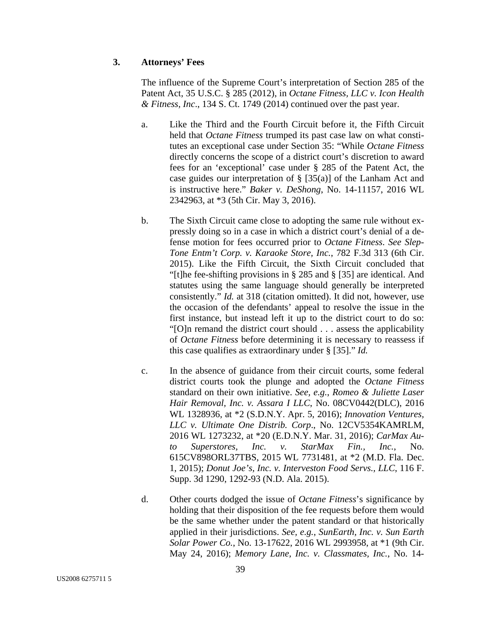## **3. Attorneys' Fees**

The influence of the Supreme Court's interpretation of Section 285 of the Patent Act, 35 U.S.C. § 285 (2012), in *Octane Fitness, LLC v. Icon Health & Fitness, Inc*., 134 S. Ct. 1749 (2014) continued over the past year.

- a. Like the Third and the Fourth Circuit before it, the Fifth Circuit held that *Octane Fitness* trumped its past case law on what constitutes an exceptional case under Section 35: "While *Octane Fitness* directly concerns the scope of a district court's discretion to award fees for an 'exceptional' case under § 285 of the Patent Act, the case guides our interpretation of § [35(a)] of the Lanham Act and is instructive here." *Baker v. DeShong*, No. 14-11157, 2016 WL 2342963, at \*3 (5th Cir. May 3, 2016).
- b. The Sixth Circuit came close to adopting the same rule without expressly doing so in a case in which a district court's denial of a defense motion for fees occurred prior to *Octane Fitness*. *See Slep-Tone Entm't Corp. v. Karaoke Store, Inc.*, 782 F.3d 313 (6th Cir. 2015). Like the Fifth Circuit, the Sixth Circuit concluded that "[t]he fee-shifting provisions in § 285 and § [35] are identical. And statutes using the same language should generally be interpreted consistently." *Id.* at 318 (citation omitted). It did not, however, use the occasion of the defendants' appeal to resolve the issue in the first instance, but instead left it up to the district court to do so: "[O]n remand the district court should . . . assess the applicability of *Octane Fitness* before determining it is necessary to reassess if this case qualifies as extraordinary under § [35]." *Id.*
- c. In the absence of guidance from their circuit courts, some federal district courts took the plunge and adopted the *Octane Fitness*  standard on their own initiative. *See, e.g.*, *Romeo & Juliette Laser Hair Removal, Inc. v. Assara I LLC*, No. 08CV0442(DLC), 2016 WL 1328936, at \*2 (S.D.N.Y. Apr. 5, 2016); *Innovation Ventures, LLC v. Ultimate One Distrib. Corp*., No. 12CV5354KAMRLM, 2016 WL 1273232, at \*20 (E.D.N.Y. Mar. 31, 2016); *CarMax Auto Superstores, Inc. v. StarMax Fin., Inc.*, No. 615CV898ORL37TBS, 2015 WL 7731481, at \*2 (M.D. Fla. Dec. 1, 2015); *Donut Joe's, Inc. v. Interveston Food Servs., LLC*, 116 F. Supp. 3d 1290, 1292-93 (N.D. Ala. 2015).
- d. Other courts dodged the issue of *Octane Fitness*'s significance by holding that their disposition of the fee requests before them would be the same whether under the patent standard or that historically applied in their jurisdictions. *See, e.g.*, *SunEarth, Inc. v. Sun Earth Solar Power Co.*, No. 13-17622, 2016 WL 2993958, at \*1 (9th Cir. May 24, 2016); *Memory Lane, Inc. v. Classmates, Inc.*, No. 14-